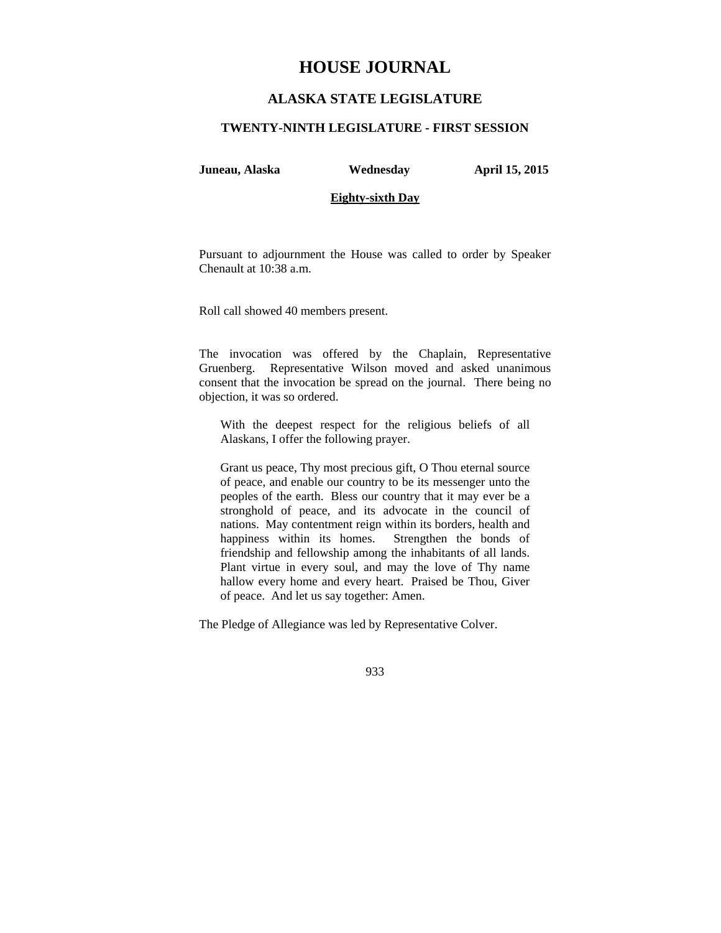# **HOUSE JOURNAL**

## **ALASKA STATE LEGISLATURE**

### **TWENTY-NINTH LEGISLATURE - FIRST SESSION**

**Juneau, Alaska Wednesday April 15, 2015** 

### **Eighty-sixth Day**

Pursuant to adjournment the House was called to order by Speaker Chenault at 10:38 a.m.

Roll call showed 40 members present.

The invocation was offered by the Chaplain, Representative Gruenberg. Representative Wilson moved and asked unanimous consent that the invocation be spread on the journal. There being no objection, it was so ordered.

With the deepest respect for the religious beliefs of all Alaskans, I offer the following prayer.

Grant us peace, Thy most precious gift, O Thou eternal source of peace, and enable our country to be its messenger unto the peoples of the earth. Bless our country that it may ever be a stronghold of peace, and its advocate in the council of nations. May contentment reign within its borders, health and happiness within its homes. Strengthen the bonds of friendship and fellowship among the inhabitants of all lands. Plant virtue in every soul, and may the love of Thy name hallow every home and every heart. Praised be Thou, Giver of peace. And let us say together: Amen.

The Pledge of Allegiance was led by Representative Colver.

933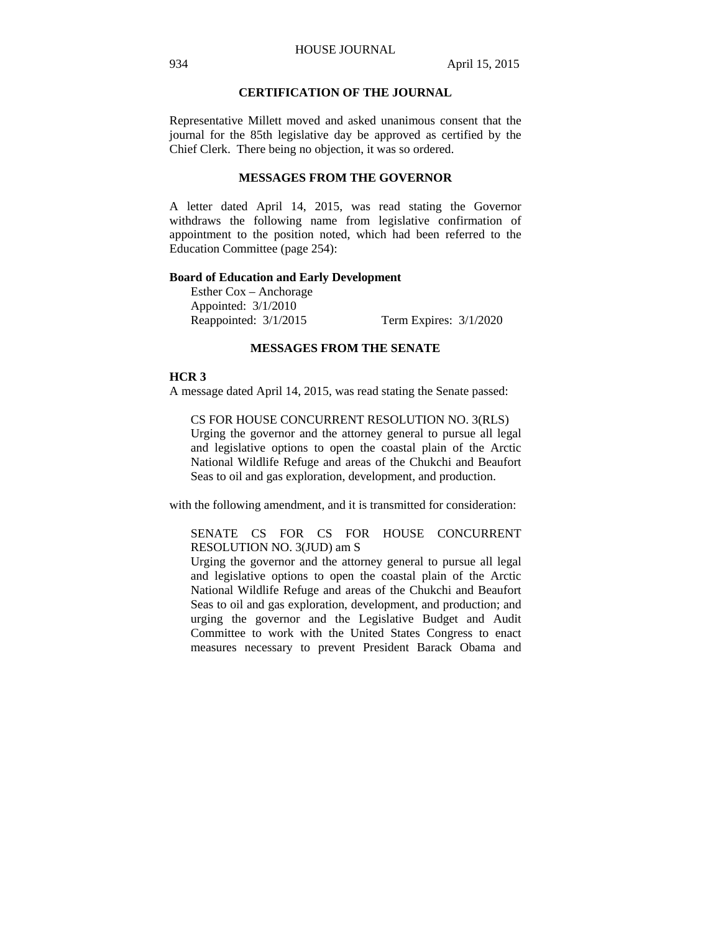## **CERTIFICATION OF THE JOURNAL**

Representative Millett moved and asked unanimous consent that the journal for the 85th legislative day be approved as certified by the Chief Clerk. There being no objection, it was so ordered.

#### **MESSAGES FROM THE GOVERNOR**

A letter dated April 14, 2015, was read stating the Governor withdraws the following name from legislative confirmation of appointment to the position noted, which had been referred to the Education Committee (page 254):

### **Board of Education and Early Development**

Esther Cox – Anchorage Appointed: 3/1/2010 Reappointed: 3/1/2015 Term Expires: 3/1/2020

### **MESSAGES FROM THE SENATE**

#### **HCR 3**

A message dated April 14, 2015, was read stating the Senate passed:

CS FOR HOUSE CONCURRENT RESOLUTION NO. 3(RLS) Urging the governor and the attorney general to pursue all legal and legislative options to open the coastal plain of the Arctic National Wildlife Refuge and areas of the Chukchi and Beaufort Seas to oil and gas exploration, development, and production.

with the following amendment, and it is transmitted for consideration:

## SENATE CS FOR CS FOR HOUSE CONCURRENT RESOLUTION NO. 3(JUD) am S

Urging the governor and the attorney general to pursue all legal and legislative options to open the coastal plain of the Arctic National Wildlife Refuge and areas of the Chukchi and Beaufort Seas to oil and gas exploration, development, and production; and urging the governor and the Legislative Budget and Audit Committee to work with the United States Congress to enact measures necessary to prevent President Barack Obama and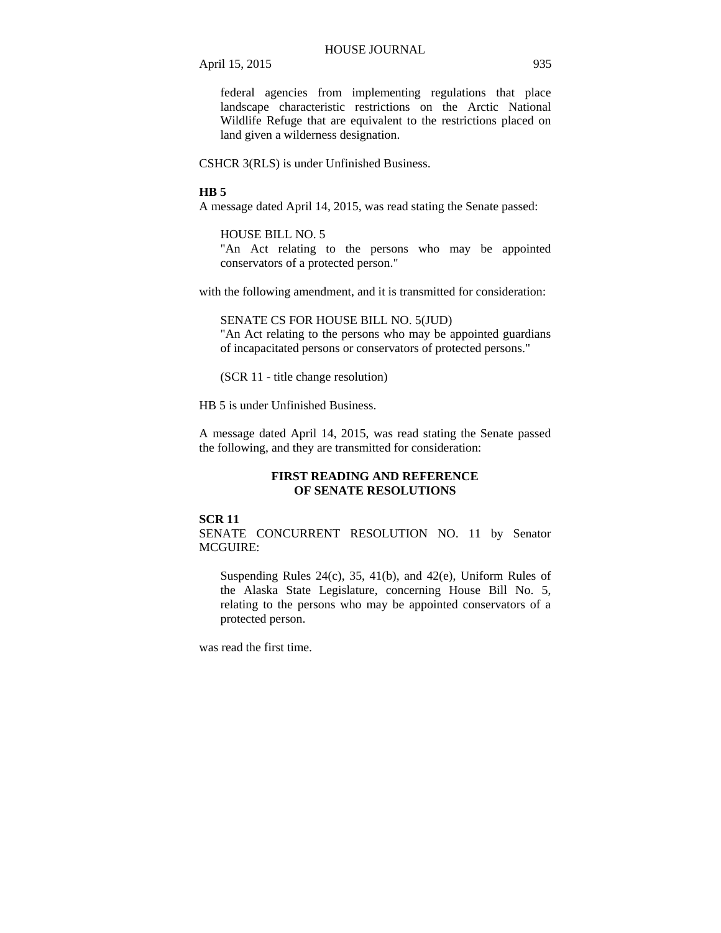federal agencies from implementing regulations that place landscape characteristic restrictions on the Arctic National Wildlife Refuge that are equivalent to the restrictions placed on land given a wilderness designation.

CSHCR 3(RLS) is under Unfinished Business.

#### **HB 5**

A message dated April 14, 2015, was read stating the Senate passed:

## HOUSE BILL NO. 5

"An Act relating to the persons who may be appointed conservators of a protected person."

with the following amendment, and it is transmitted for consideration:

#### SENATE CS FOR HOUSE BILL NO. 5(JUD)

"An Act relating to the persons who may be appointed guardians of incapacitated persons or conservators of protected persons."

(SCR 11 - title change resolution)

HB 5 is under Unfinished Business.

A message dated April 14, 2015, was read stating the Senate passed the following, and they are transmitted for consideration:

### **FIRST READING AND REFERENCE OF SENATE RESOLUTIONS**

#### **SCR 11**

SENATE CONCURRENT RESOLUTION NO. 11 by Senator MCGUIRE:

Suspending Rules 24(c), 35, 41(b), and 42(e), Uniform Rules of the Alaska State Legislature, concerning House Bill No. 5, relating to the persons who may be appointed conservators of a protected person.

was read the first time.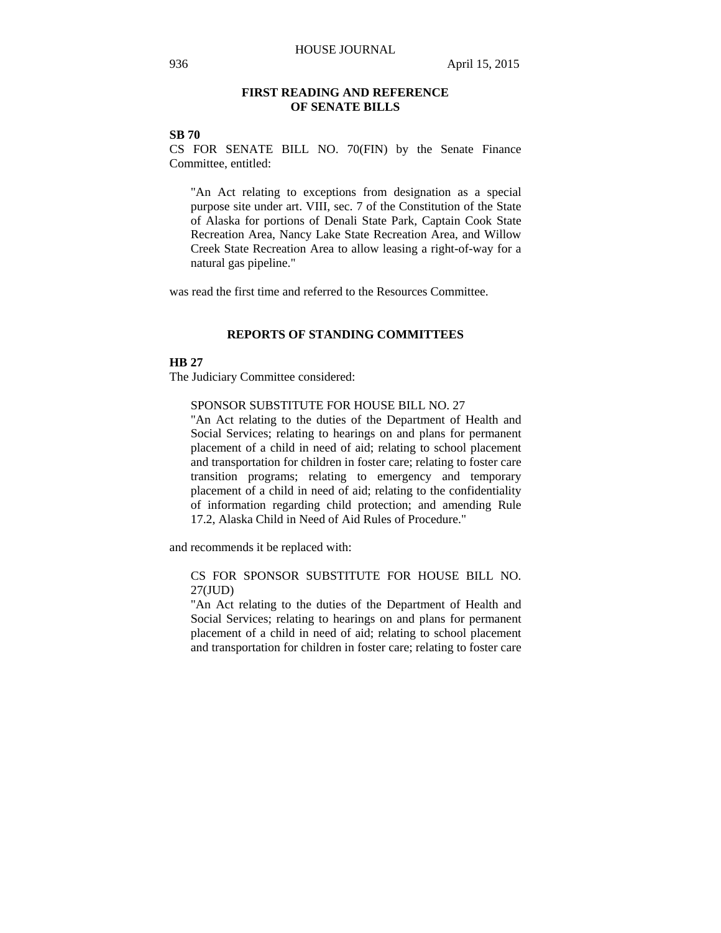### **FIRST READING AND REFERENCE OF SENATE BILLS**

## **SB 70**

CS FOR SENATE BILL NO. 70(FIN) by the Senate Finance Committee, entitled:

"An Act relating to exceptions from designation as a special purpose site under art. VIII, sec. 7 of the Constitution of the State of Alaska for portions of Denali State Park, Captain Cook State Recreation Area, Nancy Lake State Recreation Area, and Willow Creek State Recreation Area to allow leasing a right-of-way for a natural gas pipeline."

was read the first time and referred to the Resources Committee.

### **REPORTS OF STANDING COMMITTEES**

### **HB 27**

The Judiciary Committee considered:

### SPONSOR SUBSTITUTE FOR HOUSE BILL NO. 27

"An Act relating to the duties of the Department of Health and Social Services; relating to hearings on and plans for permanent placement of a child in need of aid; relating to school placement and transportation for children in foster care; relating to foster care transition programs; relating to emergency and temporary placement of a child in need of aid; relating to the confidentiality of information regarding child protection; and amending Rule 17.2, Alaska Child in Need of Aid Rules of Procedure."

and recommends it be replaced with:

## CS FOR SPONSOR SUBSTITUTE FOR HOUSE BILL NO. 27(JUD)

"An Act relating to the duties of the Department of Health and Social Services; relating to hearings on and plans for permanent placement of a child in need of aid; relating to school placement and transportation for children in foster care; relating to foster care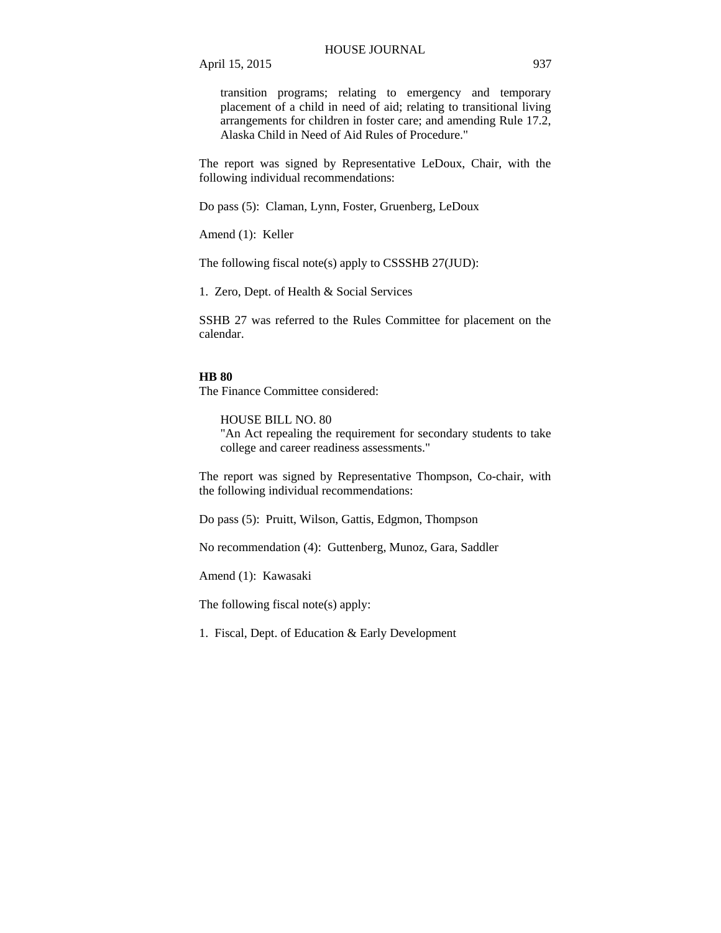transition programs; relating to emergency and temporary placement of a child in need of aid; relating to transitional living arrangements for children in foster care; and amending Rule 17.2, Alaska Child in Need of Aid Rules of Procedure."

The report was signed by Representative LeDoux, Chair, with the following individual recommendations:

Do pass (5): Claman, Lynn, Foster, Gruenberg, LeDoux

Amend (1): Keller

The following fiscal note(s) apply to CSSSHB 27(JUD):

1. Zero, Dept. of Health & Social Services

SSHB 27 was referred to the Rules Committee for placement on the calendar.

#### **HB 80**

The Finance Committee considered:

HOUSE BILL NO. 80

"An Act repealing the requirement for secondary students to take college and career readiness assessments."

The report was signed by Representative Thompson, Co-chair, with the following individual recommendations:

Do pass (5): Pruitt, Wilson, Gattis, Edgmon, Thompson

No recommendation (4): Guttenberg, Munoz, Gara, Saddler

Amend (1): Kawasaki

The following fiscal note(s) apply:

1. Fiscal, Dept. of Education & Early Development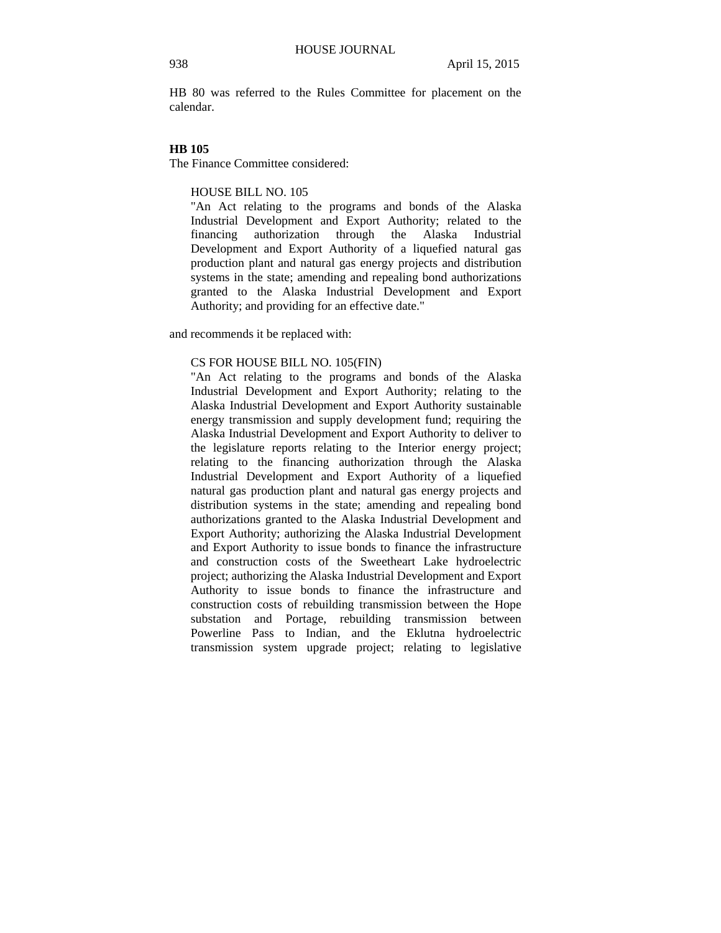HB 80 was referred to the Rules Committee for placement on the calendar.

#### **HB 105**

The Finance Committee considered:

HOUSE BILL NO. 105

"An Act relating to the programs and bonds of the Alaska Industrial Development and Export Authority; related to the financing authorization through the Alaska Industrial Development and Export Authority of a liquefied natural gas production plant and natural gas energy projects and distribution systems in the state; amending and repealing bond authorizations granted to the Alaska Industrial Development and Export Authority; and providing for an effective date."

and recommends it be replaced with:

## CS FOR HOUSE BILL NO. 105(FIN)

"An Act relating to the programs and bonds of the Alaska Industrial Development and Export Authority; relating to the Alaska Industrial Development and Export Authority sustainable energy transmission and supply development fund; requiring the Alaska Industrial Development and Export Authority to deliver to the legislature reports relating to the Interior energy project; relating to the financing authorization through the Alaska Industrial Development and Export Authority of a liquefied natural gas production plant and natural gas energy projects and distribution systems in the state; amending and repealing bond authorizations granted to the Alaska Industrial Development and Export Authority; authorizing the Alaska Industrial Development and Export Authority to issue bonds to finance the infrastructure and construction costs of the Sweetheart Lake hydroelectric project; authorizing the Alaska Industrial Development and Export Authority to issue bonds to finance the infrastructure and construction costs of rebuilding transmission between the Hope substation and Portage, rebuilding transmission between Powerline Pass to Indian, and the Eklutna hydroelectric transmission system upgrade project; relating to legislative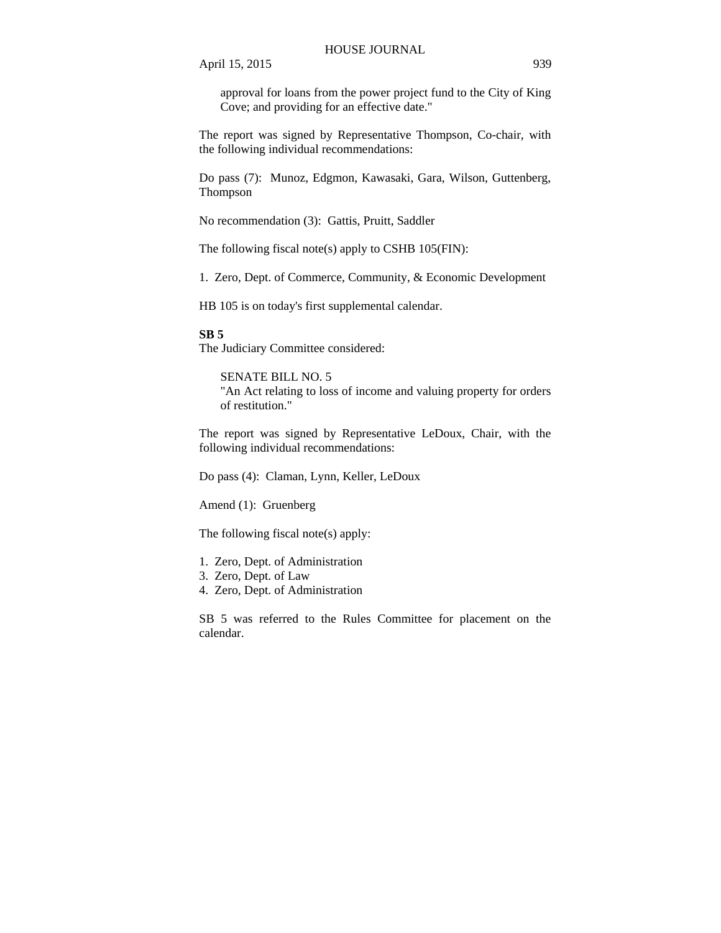approval for loans from the power project fund to the City of King Cove; and providing for an effective date."

The report was signed by Representative Thompson, Co-chair, with the following individual recommendations:

Do pass (7): Munoz, Edgmon, Kawasaki, Gara, Wilson, Guttenberg, Thompson

No recommendation (3): Gattis, Pruitt, Saddler

The following fiscal note(s) apply to CSHB 105(FIN):

1. Zero, Dept. of Commerce, Community, & Economic Development

HB 105 is on today's first supplemental calendar.

**SB 5**

The Judiciary Committee considered:

SENATE BILL NO. 5 "An Act relating to loss of income and valuing property for orders of restitution."

The report was signed by Representative LeDoux, Chair, with the following individual recommendations:

Do pass (4): Claman, Lynn, Keller, LeDoux

Amend (1): Gruenberg

The following fiscal note(s) apply:

- 1. Zero, Dept. of Administration
- 3. Zero, Dept. of Law
- 4. Zero, Dept. of Administration

SB 5 was referred to the Rules Committee for placement on the calendar.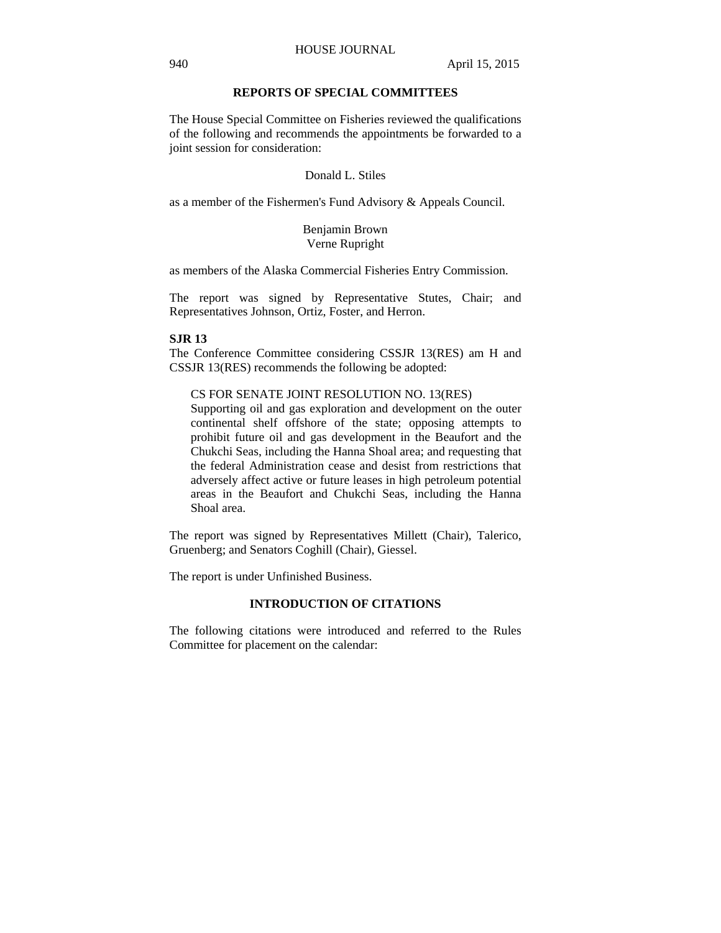## **REPORTS OF SPECIAL COMMITTEES**

The House Special Committee on Fisheries reviewed the qualifications of the following and recommends the appointments be forwarded to a joint session for consideration:

## Donald L. Stiles

as a member of the Fishermen's Fund Advisory & Appeals Council.

### Benjamin Brown Verne Rupright

as members of the Alaska Commercial Fisheries Entry Commission.

The report was signed by Representative Stutes, Chair; and Representatives Johnson, Ortiz, Foster, and Herron.

#### **SJR 13**

The Conference Committee considering CSSJR 13(RES) am H and CSSJR 13(RES) recommends the following be adopted:

#### CS FOR SENATE JOINT RESOLUTION NO. 13(RES)

Supporting oil and gas exploration and development on the outer continental shelf offshore of the state; opposing attempts to prohibit future oil and gas development in the Beaufort and the Chukchi Seas, including the Hanna Shoal area; and requesting that the federal Administration cease and desist from restrictions that adversely affect active or future leases in high petroleum potential areas in the Beaufort and Chukchi Seas, including the Hanna Shoal area.

The report was signed by Representatives Millett (Chair), Talerico, Gruenberg; and Senators Coghill (Chair), Giessel.

The report is under Unfinished Business.

## **INTRODUCTION OF CITATIONS**

The following citations were introduced and referred to the Rules Committee for placement on the calendar: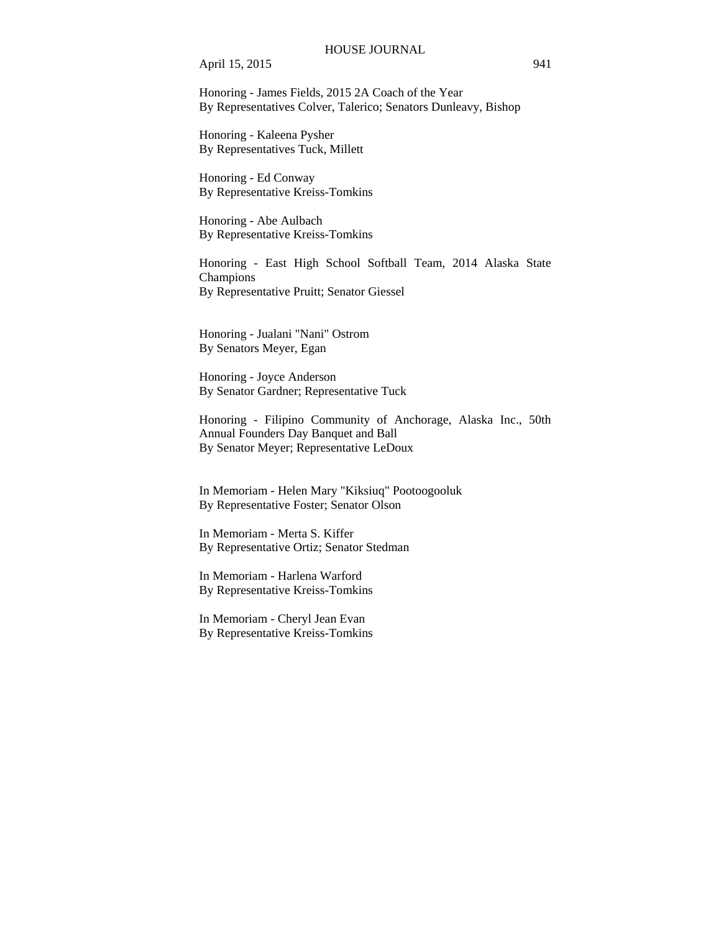#### HOUSE JOURNAL

April 15, 2015 941

Honoring - James Fields, 2015 2A Coach of the Year By Representatives Colver, Talerico; Senators Dunleavy, Bishop

Honoring - Kaleena Pysher By Representatives Tuck, Millett

Honoring - Ed Conway By Representative Kreiss-Tomkins

Honoring - Abe Aulbach By Representative Kreiss-Tomkins

Honoring - East High School Softball Team, 2014 Alaska State Champions By Representative Pruitt; Senator Giessel

Honoring - Jualani "Nani" Ostrom By Senators Meyer, Egan

Honoring - Joyce Anderson By Senator Gardner; Representative Tuck

Honoring - Filipino Community of Anchorage, Alaska Inc., 50th Annual Founders Day Banquet and Ball By Senator Meyer; Representative LeDoux

In Memoriam - Helen Mary "Kiksiuq" Pootoogooluk By Representative Foster; Senator Olson

In Memoriam - Merta S. Kiffer By Representative Ortiz; Senator Stedman

In Memoriam - Harlena Warford By Representative Kreiss-Tomkins

In Memoriam - Cheryl Jean Evan By Representative Kreiss-Tomkins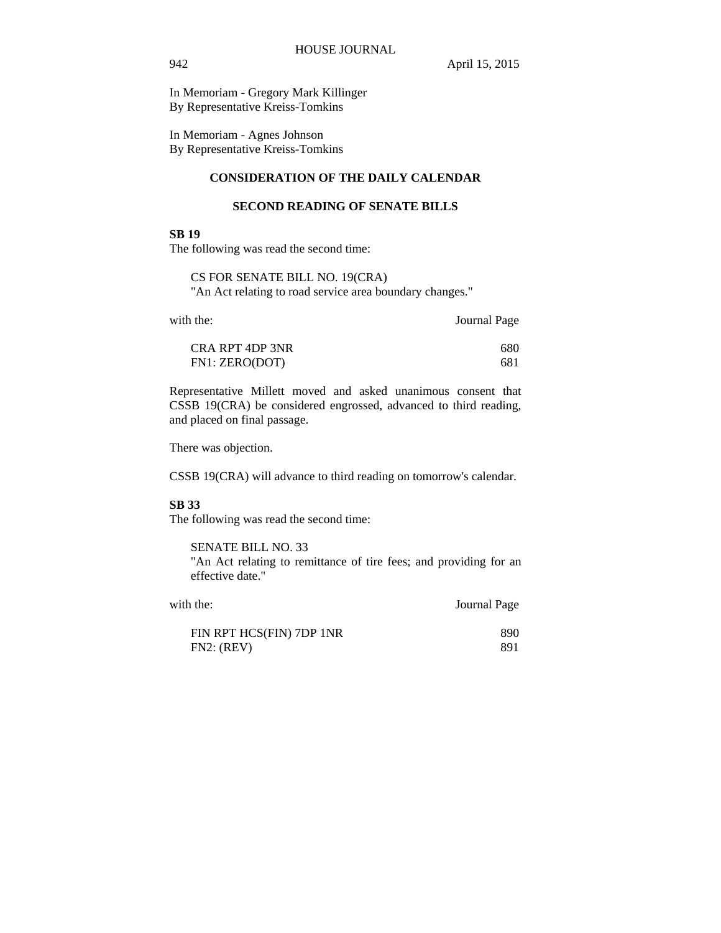In Memoriam - Gregory Mark Killinger By Representative Kreiss-Tomkins

In Memoriam - Agnes Johnson By Representative Kreiss-Tomkins

## **CONSIDERATION OF THE DAILY CALENDAR**

### **SECOND READING OF SENATE BILLS**

## **SB 19**

The following was read the second time:

CS FOR SENATE BILL NO. 19(CRA) "An Act relating to road service area boundary changes."

| with the: |  |
|-----------|--|
|-----------|--|

with the: **Journal Page** 

| CRA RPT 4DP 3NR | 680 |
|-----------------|-----|
| FN1: ZERO(DOT)  | 681 |

Representative Millett moved and asked unanimous consent that CSSB 19(CRA) be considered engrossed, advanced to third reading, and placed on final passage.

There was objection.

CSSB 19(CRA) will advance to third reading on tomorrow's calendar.

#### **SB 33**

The following was read the second time:

SENATE BILL NO. 33

"An Act relating to remittance of tire fees; and providing for an effective date."

| with the:                | Journal Page |  |
|--------------------------|--------------|--|
| FIN RPT HCS(FIN) 7DP 1NR | 890          |  |
| FN2: (REV)               | 891          |  |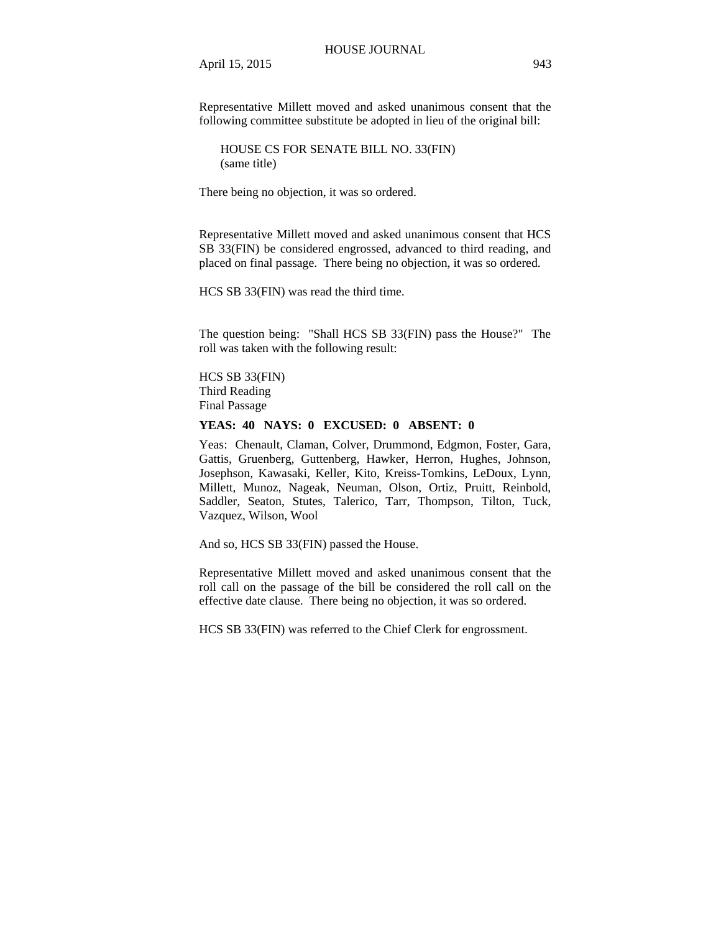Representative Millett moved and asked unanimous consent that the following committee substitute be adopted in lieu of the original bill:

HOUSE CS FOR SENATE BILL NO. 33(FIN) (same title)

There being no objection, it was so ordered.

Representative Millett moved and asked unanimous consent that HCS SB 33(FIN) be considered engrossed, advanced to third reading, and placed on final passage. There being no objection, it was so ordered.

HCS SB 33(FIN) was read the third time.

The question being: "Shall HCS SB 33(FIN) pass the House?" The roll was taken with the following result:

HCS SB 33(FIN) Third Reading Final Passage

#### **YEAS: 40 NAYS: 0 EXCUSED: 0 ABSENT: 0**

Yeas: Chenault, Claman, Colver, Drummond, Edgmon, Foster, Gara, Gattis, Gruenberg, Guttenberg, Hawker, Herron, Hughes, Johnson, Josephson, Kawasaki, Keller, Kito, Kreiss-Tomkins, LeDoux, Lynn, Millett, Munoz, Nageak, Neuman, Olson, Ortiz, Pruitt, Reinbold, Saddler, Seaton, Stutes, Talerico, Tarr, Thompson, Tilton, Tuck, Vazquez, Wilson, Wool

And so, HCS SB 33(FIN) passed the House.

Representative Millett moved and asked unanimous consent that the roll call on the passage of the bill be considered the roll call on the effective date clause. There being no objection, it was so ordered.

HCS SB 33(FIN) was referred to the Chief Clerk for engrossment.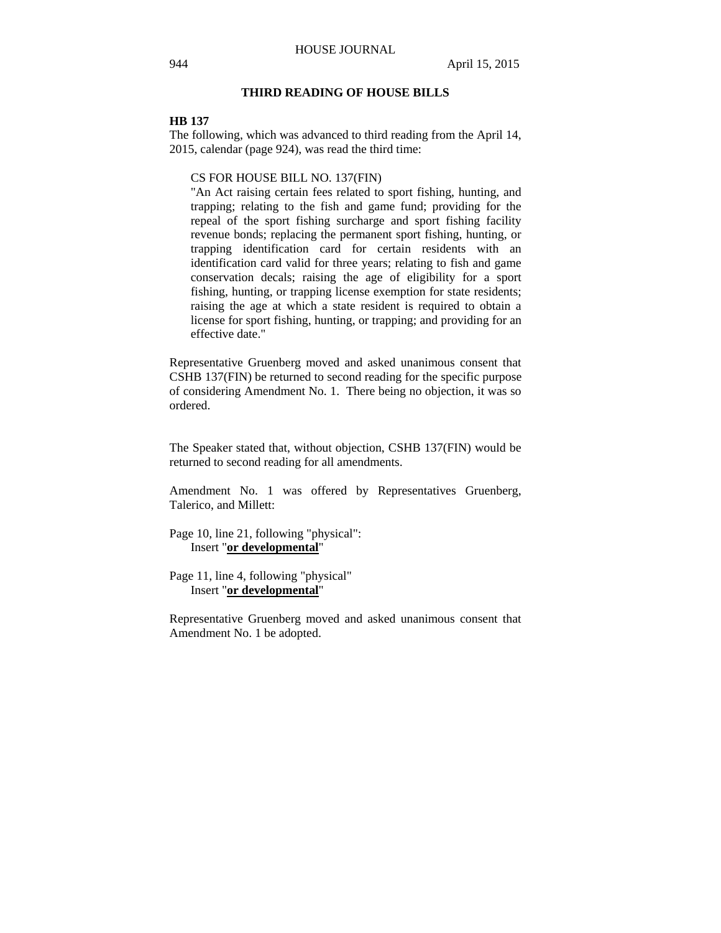## **THIRD READING OF HOUSE BILLS**

#### **HB 137**

The following, which was advanced to third reading from the April 14, 2015, calendar (page 924), was read the third time:

CS FOR HOUSE BILL NO. 137(FIN)

"An Act raising certain fees related to sport fishing, hunting, and trapping; relating to the fish and game fund; providing for the repeal of the sport fishing surcharge and sport fishing facility revenue bonds; replacing the permanent sport fishing, hunting, or trapping identification card for certain residents with an identification card valid for three years; relating to fish and game conservation decals; raising the age of eligibility for a sport fishing, hunting, or trapping license exemption for state residents; raising the age at which a state resident is required to obtain a license for sport fishing, hunting, or trapping; and providing for an effective date."

Representative Gruenberg moved and asked unanimous consent that CSHB 137(FIN) be returned to second reading for the specific purpose of considering Amendment No. 1. There being no objection, it was so ordered.

The Speaker stated that, without objection, CSHB 137(FIN) would be returned to second reading for all amendments.

Amendment No. 1 was offered by Representatives Gruenberg, Talerico, and Millett:

Page 10, line 21, following "physical": Insert "**or developmental**"

Page 11, line 4, following "physical" Insert "**or developmental**"

Representative Gruenberg moved and asked unanimous consent that Amendment No. 1 be adopted.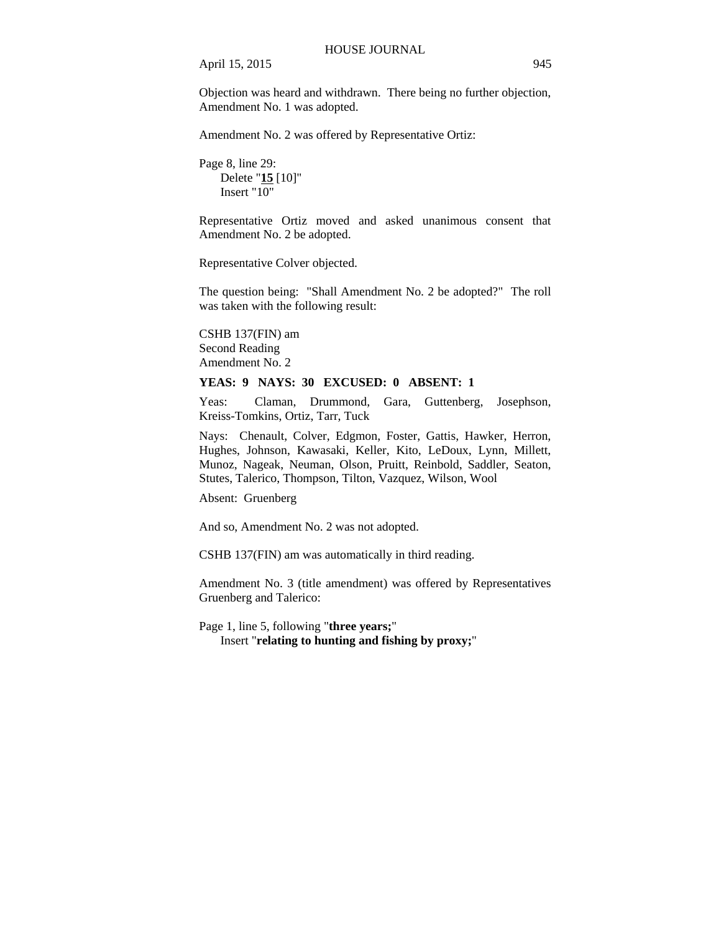Objection was heard and withdrawn. There being no further objection, Amendment No. 1 was adopted.

Amendment No. 2 was offered by Representative Ortiz:

Page 8, line 29: Delete "**15** [10]" Insert " $10$ "

Representative Ortiz moved and asked unanimous consent that Amendment No. 2 be adopted.

Representative Colver objected.

The question being: "Shall Amendment No. 2 be adopted?" The roll was taken with the following result:

CSHB 137(FIN) am Second Reading Amendment No. 2

## **YEAS: 9 NAYS: 30 EXCUSED: 0 ABSENT: 1**

Yeas: Claman, Drummond, Gara, Guttenberg, Josephson, Kreiss-Tomkins, Ortiz, Tarr, Tuck

Nays: Chenault, Colver, Edgmon, Foster, Gattis, Hawker, Herron, Hughes, Johnson, Kawasaki, Keller, Kito, LeDoux, Lynn, Millett, Munoz, Nageak, Neuman, Olson, Pruitt, Reinbold, Saddler, Seaton, Stutes, Talerico, Thompson, Tilton, Vazquez, Wilson, Wool

Absent: Gruenberg

And so, Amendment No. 2 was not adopted.

CSHB 137(FIN) am was automatically in third reading.

Amendment No. 3 (title amendment) was offered by Representatives Gruenberg and Talerico:

Page 1, line 5, following "**three years;**" Insert "**relating to hunting and fishing by proxy;**"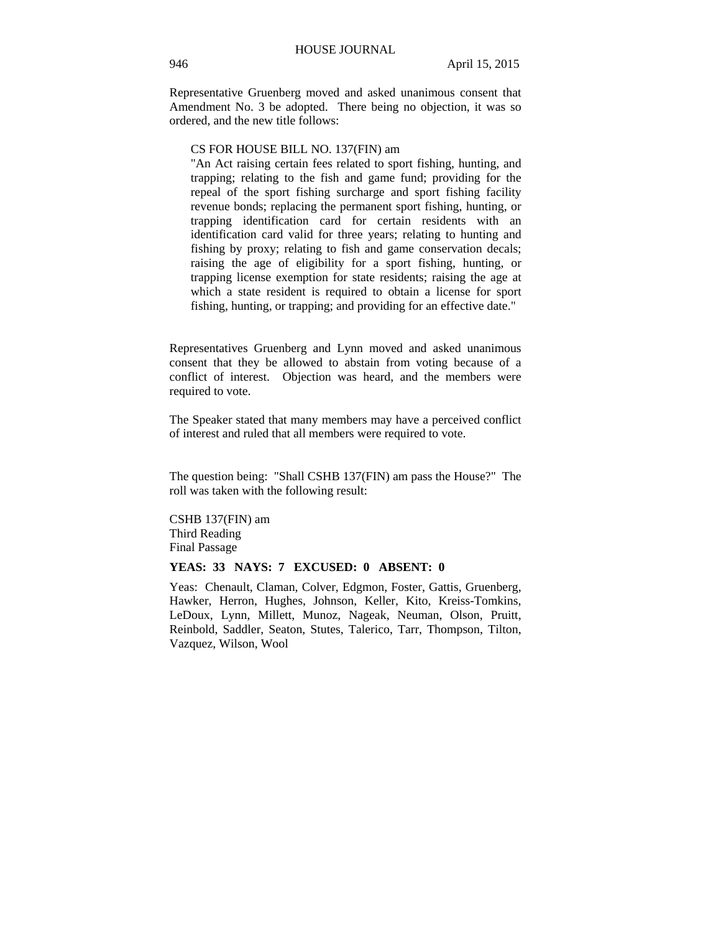Representative Gruenberg moved and asked unanimous consent that Amendment No. 3 be adopted. There being no objection, it was so ordered, and the new title follows:

CS FOR HOUSE BILL NO. 137(FIN) am

"An Act raising certain fees related to sport fishing, hunting, and trapping; relating to the fish and game fund; providing for the repeal of the sport fishing surcharge and sport fishing facility revenue bonds; replacing the permanent sport fishing, hunting, or trapping identification card for certain residents with an identification card valid for three years; relating to hunting and fishing by proxy; relating to fish and game conservation decals; raising the age of eligibility for a sport fishing, hunting, or trapping license exemption for state residents; raising the age at which a state resident is required to obtain a license for sport fishing, hunting, or trapping; and providing for an effective date."

Representatives Gruenberg and Lynn moved and asked unanimous consent that they be allowed to abstain from voting because of a conflict of interest. Objection was heard, and the members were required to vote.

The Speaker stated that many members may have a perceived conflict of interest and ruled that all members were required to vote.

The question being: "Shall CSHB 137(FIN) am pass the House?" The roll was taken with the following result:

CSHB 137(FIN) am Third Reading Final Passage

### **YEAS: 33 NAYS: 7 EXCUSED: 0 ABSENT: 0**

Yeas: Chenault, Claman, Colver, Edgmon, Foster, Gattis, Gruenberg, Hawker, Herron, Hughes, Johnson, Keller, Kito, Kreiss-Tomkins, LeDoux, Lynn, Millett, Munoz, Nageak, Neuman, Olson, Pruitt, Reinbold, Saddler, Seaton, Stutes, Talerico, Tarr, Thompson, Tilton, Vazquez, Wilson, Wool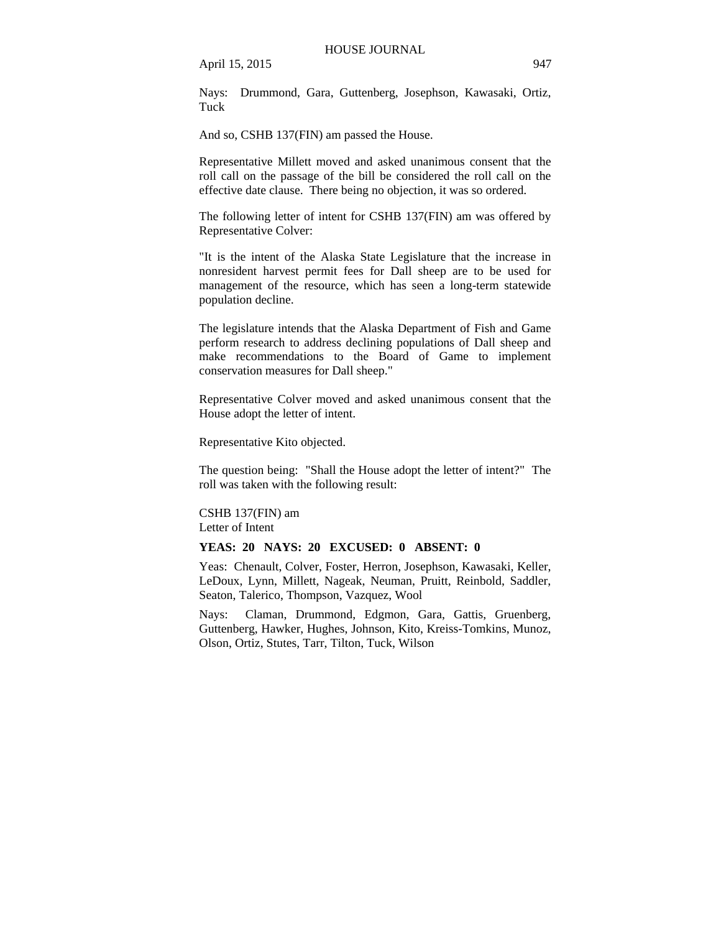Nays: Drummond, Gara, Guttenberg, Josephson, Kawasaki, Ortiz, Tuck

And so, CSHB 137(FIN) am passed the House.

Representative Millett moved and asked unanimous consent that the roll call on the passage of the bill be considered the roll call on the effective date clause. There being no objection, it was so ordered.

The following letter of intent for CSHB 137(FIN) am was offered by Representative Colver:

"It is the intent of the Alaska State Legislature that the increase in nonresident harvest permit fees for Dall sheep are to be used for management of the resource, which has seen a long-term statewide population decline.

The legislature intends that the Alaska Department of Fish and Game perform research to address declining populations of Dall sheep and make recommendations to the Board of Game to implement conservation measures for Dall sheep."

Representative Colver moved and asked unanimous consent that the House adopt the letter of intent.

Representative Kito objected.

The question being: "Shall the House adopt the letter of intent?" The roll was taken with the following result:

CSHB 137(FIN) am Letter of Intent

#### **YEAS: 20 NAYS: 20 EXCUSED: 0 ABSENT: 0**

Yeas: Chenault, Colver, Foster, Herron, Josephson, Kawasaki, Keller, LeDoux, Lynn, Millett, Nageak, Neuman, Pruitt, Reinbold, Saddler, Seaton, Talerico, Thompson, Vazquez, Wool

Nays: Claman, Drummond, Edgmon, Gara, Gattis, Gruenberg, Guttenberg, Hawker, Hughes, Johnson, Kito, Kreiss-Tomkins, Munoz, Olson, Ortiz, Stutes, Tarr, Tilton, Tuck, Wilson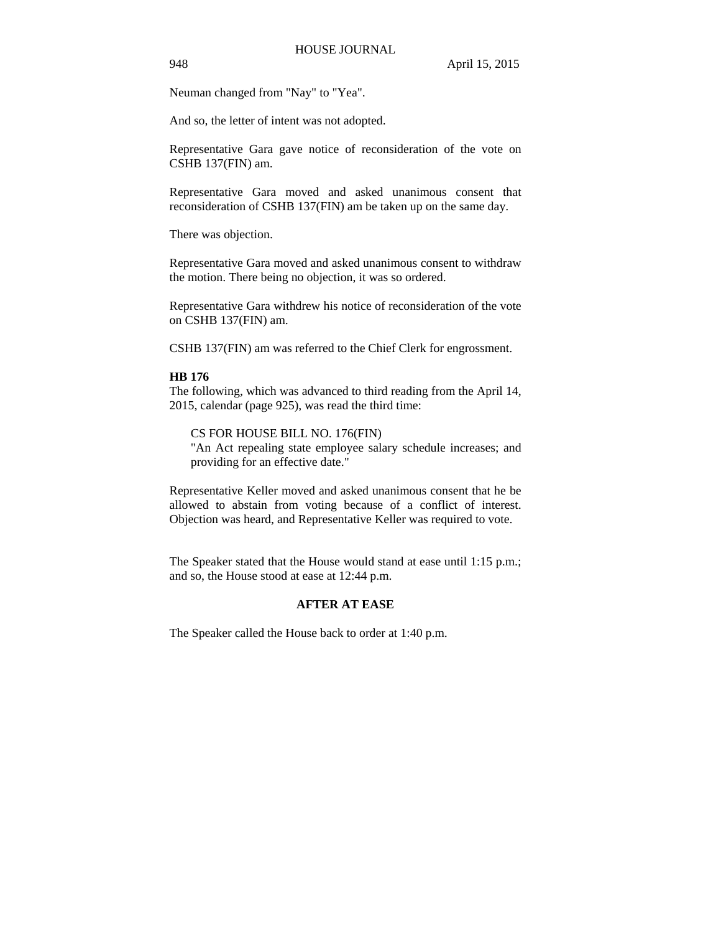Neuman changed from "Nay" to "Yea".

And so, the letter of intent was not adopted.

Representative Gara gave notice of reconsideration of the vote on CSHB 137(FIN) am.

Representative Gara moved and asked unanimous consent that reconsideration of CSHB 137(FIN) am be taken up on the same day.

There was objection.

Representative Gara moved and asked unanimous consent to withdraw the motion. There being no objection, it was so ordered.

Representative Gara withdrew his notice of reconsideration of the vote on CSHB 137(FIN) am.

CSHB 137(FIN) am was referred to the Chief Clerk for engrossment.

#### **HB 176**

The following, which was advanced to third reading from the April 14, 2015, calendar (page 925), was read the third time:

CS FOR HOUSE BILL NO. 176(FIN) "An Act repealing state employee salary schedule increases; and providing for an effective date."

Representative Keller moved and asked unanimous consent that he be allowed to abstain from voting because of a conflict of interest. Objection was heard, and Representative Keller was required to vote.

The Speaker stated that the House would stand at ease until 1:15 p.m.; and so, the House stood at ease at 12:44 p.m.

## **AFTER AT EASE**

The Speaker called the House back to order at 1:40 p.m.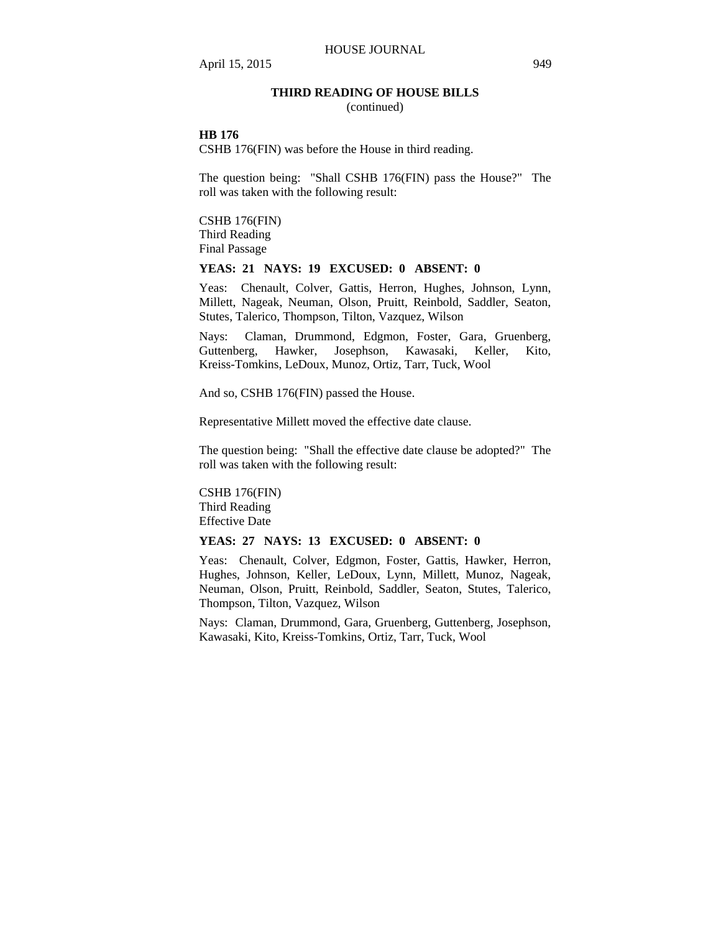### **THIRD READING OF HOUSE BILLS**

(continued)

### **HB 176**

CSHB 176(FIN) was before the House in third reading.

The question being: "Shall CSHB 176(FIN) pass the House?" The roll was taken with the following result:

CSHB 176(FIN) Third Reading Final Passage

### **YEAS: 21 NAYS: 19 EXCUSED: 0 ABSENT: 0**

Yeas: Chenault, Colver, Gattis, Herron, Hughes, Johnson, Lynn, Millett, Nageak, Neuman, Olson, Pruitt, Reinbold, Saddler, Seaton, Stutes, Talerico, Thompson, Tilton, Vazquez, Wilson

Nays: Claman, Drummond, Edgmon, Foster, Gara, Gruenberg, Guttenberg, Hawker, Josephson, Kawasaki, Keller, Kito, Kreiss-Tomkins, LeDoux, Munoz, Ortiz, Tarr, Tuck, Wool

And so, CSHB 176(FIN) passed the House.

Representative Millett moved the effective date clause.

The question being: "Shall the effective date clause be adopted?" The roll was taken with the following result:

CSHB 176(FIN) Third Reading Effective Date

### **YEAS: 27 NAYS: 13 EXCUSED: 0 ABSENT: 0**

Yeas: Chenault, Colver, Edgmon, Foster, Gattis, Hawker, Herron, Hughes, Johnson, Keller, LeDoux, Lynn, Millett, Munoz, Nageak, Neuman, Olson, Pruitt, Reinbold, Saddler, Seaton, Stutes, Talerico, Thompson, Tilton, Vazquez, Wilson

Nays: Claman, Drummond, Gara, Gruenberg, Guttenberg, Josephson, Kawasaki, Kito, Kreiss-Tomkins, Ortiz, Tarr, Tuck, Wool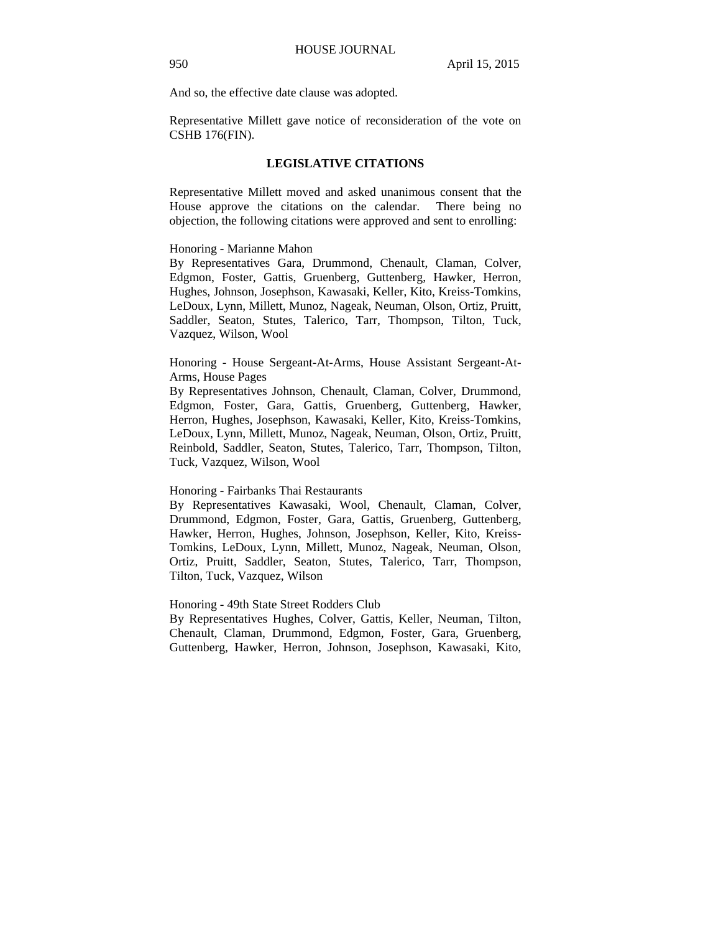And so, the effective date clause was adopted.

Representative Millett gave notice of reconsideration of the vote on CSHB 176(FIN).

#### **LEGISLATIVE CITATIONS**

Representative Millett moved and asked unanimous consent that the House approve the citations on the calendar. There being no objection, the following citations were approved and sent to enrolling:

#### Honoring - Marianne Mahon

By Representatives Gara, Drummond, Chenault, Claman, Colver, Edgmon, Foster, Gattis, Gruenberg, Guttenberg, Hawker, Herron, Hughes, Johnson, Josephson, Kawasaki, Keller, Kito, Kreiss-Tomkins, LeDoux, Lynn, Millett, Munoz, Nageak, Neuman, Olson, Ortiz, Pruitt, Saddler, Seaton, Stutes, Talerico, Tarr, Thompson, Tilton, Tuck, Vazquez, Wilson, Wool

Honoring - House Sergeant-At-Arms, House Assistant Sergeant-At-Arms, House Pages

By Representatives Johnson, Chenault, Claman, Colver, Drummond, Edgmon, Foster, Gara, Gattis, Gruenberg, Guttenberg, Hawker, Herron, Hughes, Josephson, Kawasaki, Keller, Kito, Kreiss-Tomkins, LeDoux, Lynn, Millett, Munoz, Nageak, Neuman, Olson, Ortiz, Pruitt, Reinbold, Saddler, Seaton, Stutes, Talerico, Tarr, Thompson, Tilton, Tuck, Vazquez, Wilson, Wool

#### Honoring - Fairbanks Thai Restaurants

By Representatives Kawasaki, Wool, Chenault, Claman, Colver, Drummond, Edgmon, Foster, Gara, Gattis, Gruenberg, Guttenberg, Hawker, Herron, Hughes, Johnson, Josephson, Keller, Kito, Kreiss-Tomkins, LeDoux, Lynn, Millett, Munoz, Nageak, Neuman, Olson, Ortiz, Pruitt, Saddler, Seaton, Stutes, Talerico, Tarr, Thompson, Tilton, Tuck, Vazquez, Wilson

Honoring - 49th State Street Rodders Club

By Representatives Hughes, Colver, Gattis, Keller, Neuman, Tilton, Chenault, Claman, Drummond, Edgmon, Foster, Gara, Gruenberg, Guttenberg, Hawker, Herron, Johnson, Josephson, Kawasaki, Kito,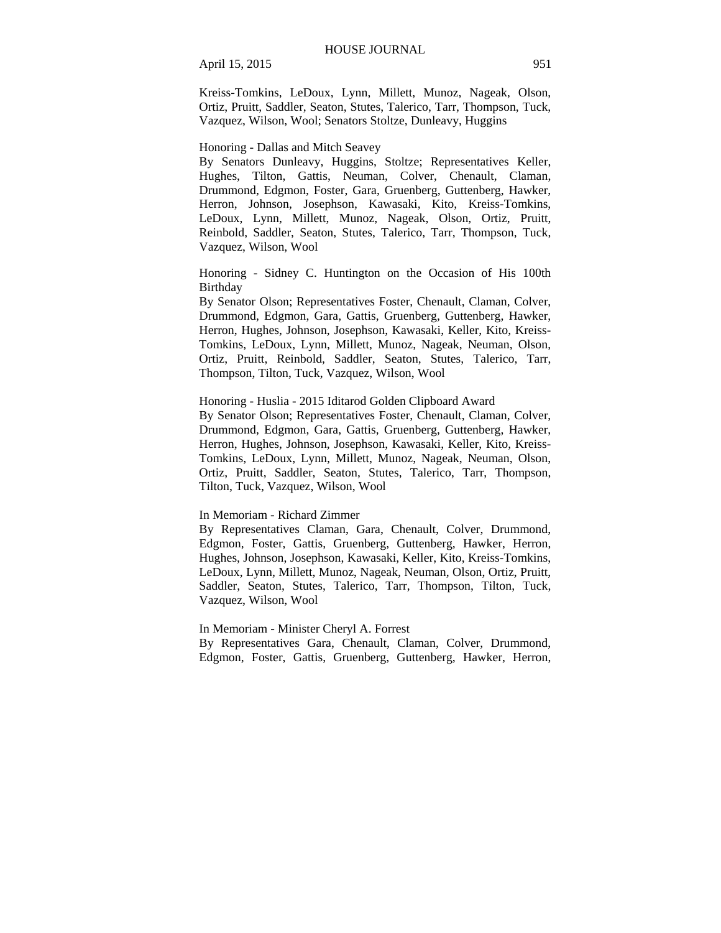Kreiss-Tomkins, LeDoux, Lynn, Millett, Munoz, Nageak, Olson, Ortiz, Pruitt, Saddler, Seaton, Stutes, Talerico, Tarr, Thompson, Tuck, Vazquez, Wilson, Wool; Senators Stoltze, Dunleavy, Huggins

Honoring - Dallas and Mitch Seavey

By Senators Dunleavy, Huggins, Stoltze; Representatives Keller, Hughes, Tilton, Gattis, Neuman, Colver, Chenault, Claman, Drummond, Edgmon, Foster, Gara, Gruenberg, Guttenberg, Hawker, Herron, Johnson, Josephson, Kawasaki, Kito, Kreiss-Tomkins, LeDoux, Lynn, Millett, Munoz, Nageak, Olson, Ortiz, Pruitt, Reinbold, Saddler, Seaton, Stutes, Talerico, Tarr, Thompson, Tuck, Vazquez, Wilson, Wool

Honoring - Sidney C. Huntington on the Occasion of His 100th **Birthday** 

By Senator Olson; Representatives Foster, Chenault, Claman, Colver, Drummond, Edgmon, Gara, Gattis, Gruenberg, Guttenberg, Hawker, Herron, Hughes, Johnson, Josephson, Kawasaki, Keller, Kito, Kreiss-Tomkins, LeDoux, Lynn, Millett, Munoz, Nageak, Neuman, Olson, Ortiz, Pruitt, Reinbold, Saddler, Seaton, Stutes, Talerico, Tarr, Thompson, Tilton, Tuck, Vazquez, Wilson, Wool

### Honoring - Huslia - 2015 Iditarod Golden Clipboard Award

By Senator Olson; Representatives Foster, Chenault, Claman, Colver, Drummond, Edgmon, Gara, Gattis, Gruenberg, Guttenberg, Hawker, Herron, Hughes, Johnson, Josephson, Kawasaki, Keller, Kito, Kreiss-Tomkins, LeDoux, Lynn, Millett, Munoz, Nageak, Neuman, Olson, Ortiz, Pruitt, Saddler, Seaton, Stutes, Talerico, Tarr, Thompson, Tilton, Tuck, Vazquez, Wilson, Wool

#### In Memoriam - Richard Zimmer

By Representatives Claman, Gara, Chenault, Colver, Drummond, Edgmon, Foster, Gattis, Gruenberg, Guttenberg, Hawker, Herron, Hughes, Johnson, Josephson, Kawasaki, Keller, Kito, Kreiss-Tomkins, LeDoux, Lynn, Millett, Munoz, Nageak, Neuman, Olson, Ortiz, Pruitt, Saddler, Seaton, Stutes, Talerico, Tarr, Thompson, Tilton, Tuck, Vazquez, Wilson, Wool

In Memoriam - Minister Cheryl A. Forrest

By Representatives Gara, Chenault, Claman, Colver, Drummond, Edgmon, Foster, Gattis, Gruenberg, Guttenberg, Hawker, Herron,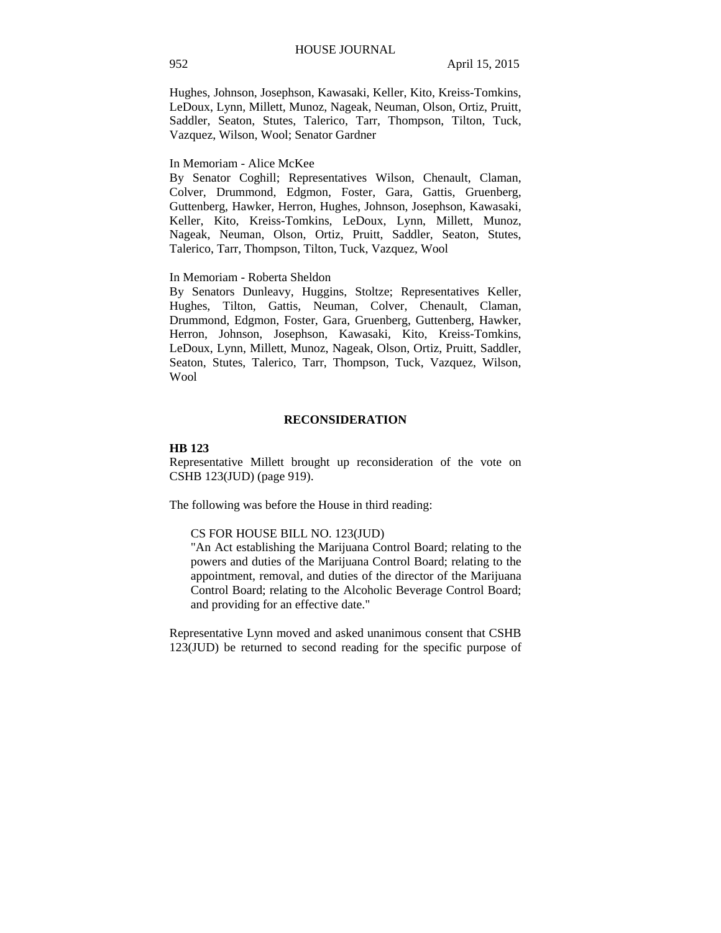Hughes, Johnson, Josephson, Kawasaki, Keller, Kito, Kreiss-Tomkins, LeDoux, Lynn, Millett, Munoz, Nageak, Neuman, Olson, Ortiz, Pruitt, Saddler, Seaton, Stutes, Talerico, Tarr, Thompson, Tilton, Tuck, Vazquez, Wilson, Wool; Senator Gardner

## In Memoriam - Alice McKee

By Senator Coghill; Representatives Wilson, Chenault, Claman, Colver, Drummond, Edgmon, Foster, Gara, Gattis, Gruenberg, Guttenberg, Hawker, Herron, Hughes, Johnson, Josephson, Kawasaki, Keller, Kito, Kreiss-Tomkins, LeDoux, Lynn, Millett, Munoz, Nageak, Neuman, Olson, Ortiz, Pruitt, Saddler, Seaton, Stutes, Talerico, Tarr, Thompson, Tilton, Tuck, Vazquez, Wool

### In Memoriam - Roberta Sheldon

By Senators Dunleavy, Huggins, Stoltze; Representatives Keller, Hughes, Tilton, Gattis, Neuman, Colver, Chenault, Claman, Drummond, Edgmon, Foster, Gara, Gruenberg, Guttenberg, Hawker, Herron, Johnson, Josephson, Kawasaki, Kito, Kreiss-Tomkins, LeDoux, Lynn, Millett, Munoz, Nageak, Olson, Ortiz, Pruitt, Saddler, Seaton, Stutes, Talerico, Tarr, Thompson, Tuck, Vazquez, Wilson, Wool

#### **RECONSIDERATION**

#### **HB 123**

Representative Millett brought up reconsideration of the vote on CSHB 123(JUD) (page 919).

The following was before the House in third reading:

#### CS FOR HOUSE BILL NO. 123(JUD)

"An Act establishing the Marijuana Control Board; relating to the powers and duties of the Marijuana Control Board; relating to the appointment, removal, and duties of the director of the Marijuana Control Board; relating to the Alcoholic Beverage Control Board; and providing for an effective date."

Representative Lynn moved and asked unanimous consent that CSHB 123(JUD) be returned to second reading for the specific purpose of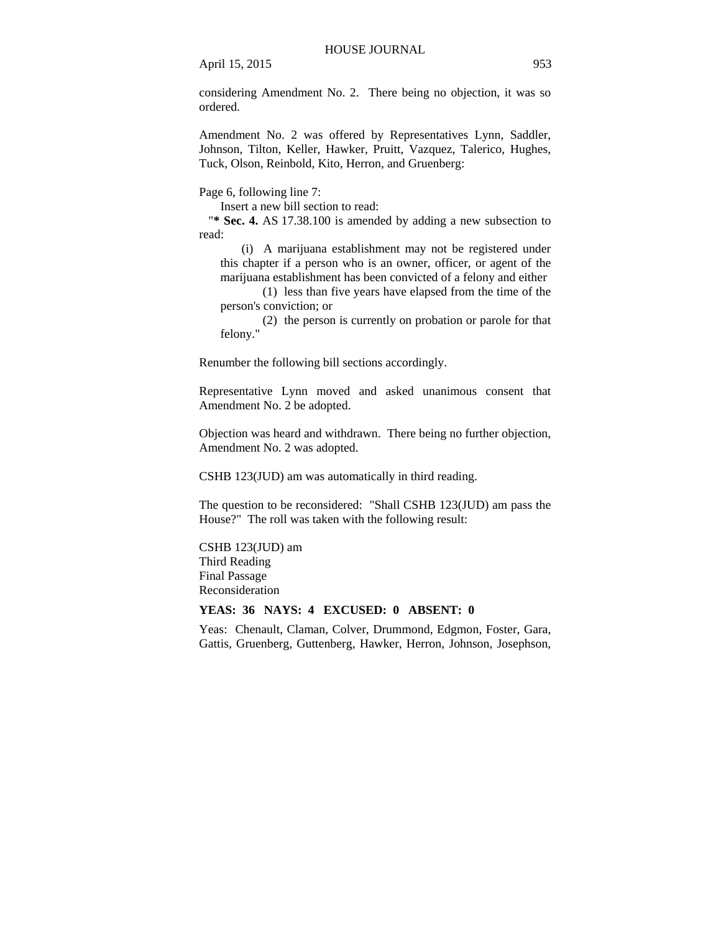considering Amendment No. 2. There being no objection, it was so ordered.

Amendment No. 2 was offered by Representatives Lynn, Saddler, Johnson, Tilton, Keller, Hawker, Pruitt, Vazquez, Talerico, Hughes, Tuck, Olson, Reinbold, Kito, Herron, and Gruenberg:

Page 6, following line 7:

Insert a new bill section to read:

"**\* Sec. 4.** AS 17.38.100 is amended by adding a new subsection to read:

(i) A marijuana establishment may not be registered under this chapter if a person who is an owner, officer, or agent of the marijuana establishment has been convicted of a felony and either

(1) less than five years have elapsed from the time of the person's conviction; or

(2) the person is currently on probation or parole for that felony."

Renumber the following bill sections accordingly.

Representative Lynn moved and asked unanimous consent that Amendment No. 2 be adopted.

Objection was heard and withdrawn. There being no further objection, Amendment No. 2 was adopted.

CSHB 123(JUD) am was automatically in third reading.

The question to be reconsidered: "Shall CSHB 123(JUD) am pass the House?" The roll was taken with the following result:

CSHB 123(JUD) am Third Reading Final Passage Reconsideration

### **YEAS: 36 NAYS: 4 EXCUSED: 0 ABSENT: 0**

Yeas: Chenault, Claman, Colver, Drummond, Edgmon, Foster, Gara, Gattis, Gruenberg, Guttenberg, Hawker, Herron, Johnson, Josephson,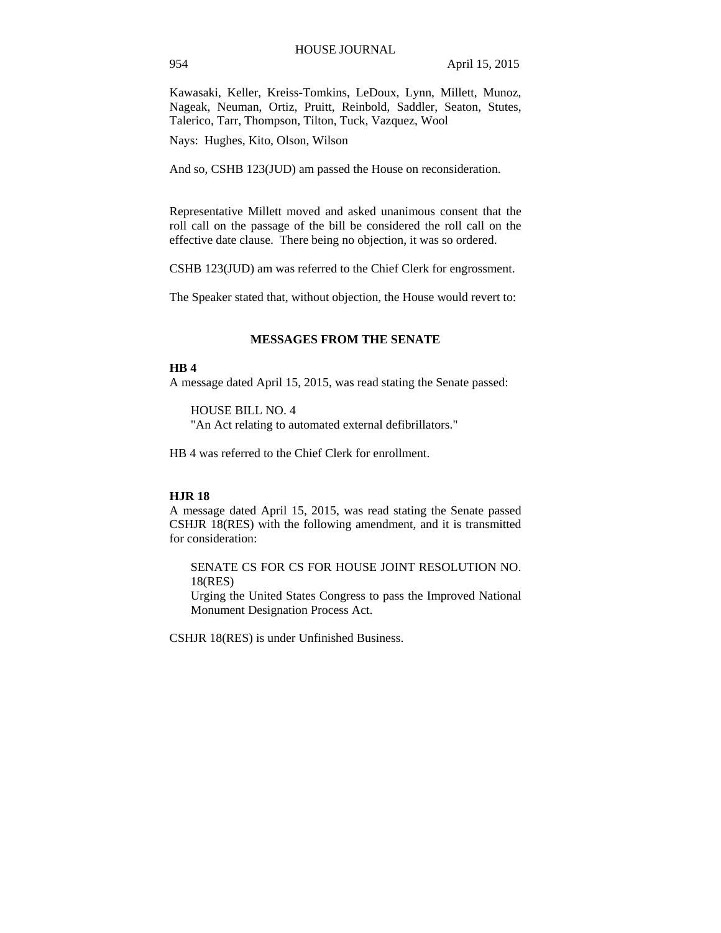Kawasaki, Keller, Kreiss-Tomkins, LeDoux, Lynn, Millett, Munoz, Nageak, Neuman, Ortiz, Pruitt, Reinbold, Saddler, Seaton, Stutes, Talerico, Tarr, Thompson, Tilton, Tuck, Vazquez, Wool

Nays: Hughes, Kito, Olson, Wilson

And so, CSHB 123(JUD) am passed the House on reconsideration.

Representative Millett moved and asked unanimous consent that the roll call on the passage of the bill be considered the roll call on the effective date clause. There being no objection, it was so ordered.

CSHB 123(JUD) am was referred to the Chief Clerk for engrossment.

The Speaker stated that, without objection, the House would revert to:

### **MESSAGES FROM THE SENATE**

#### **HB 4**

A message dated April 15, 2015, was read stating the Senate passed:

#### HOUSE BILL NO. 4

"An Act relating to automated external defibrillators."

HB 4 was referred to the Chief Clerk for enrollment.

#### **HJR 18**

A message dated April 15, 2015, was read stating the Senate passed CSHJR 18(RES) with the following amendment, and it is transmitted for consideration:

SENATE CS FOR CS FOR HOUSE JOINT RESOLUTION NO. 18(RES)

Urging the United States Congress to pass the Improved National Monument Designation Process Act.

CSHJR 18(RES) is under Unfinished Business.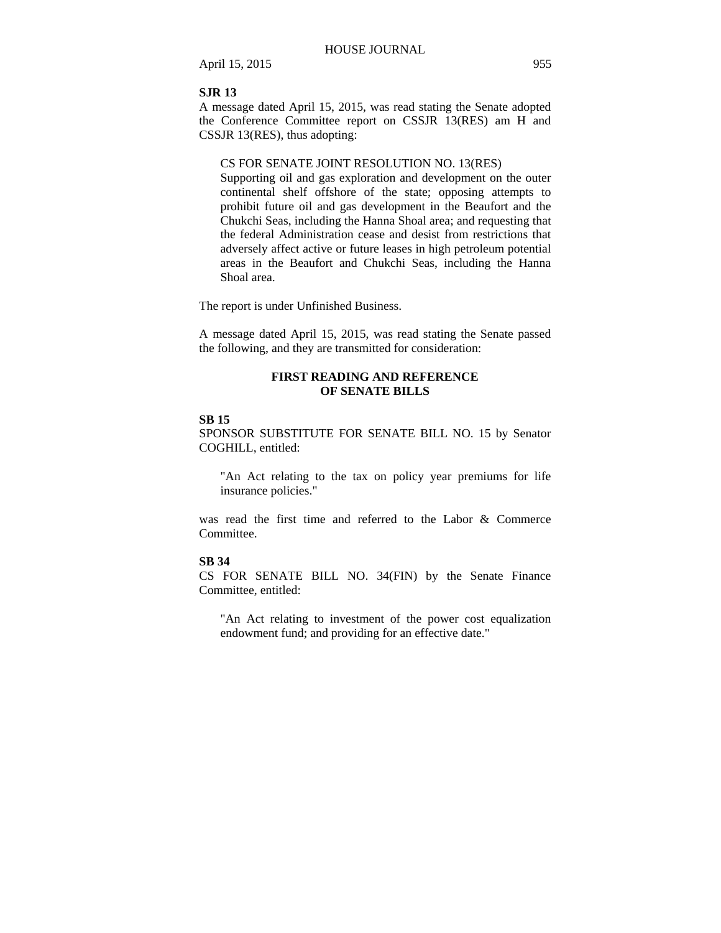#### **SJR 13**

A message dated April 15, 2015, was read stating the Senate adopted the Conference Committee report on CSSJR 13(RES) am H and CSSJR 13(RES), thus adopting:

## CS FOR SENATE JOINT RESOLUTION NO. 13(RES)

Supporting oil and gas exploration and development on the outer continental shelf offshore of the state; opposing attempts to prohibit future oil and gas development in the Beaufort and the Chukchi Seas, including the Hanna Shoal area; and requesting that the federal Administration cease and desist from restrictions that adversely affect active or future leases in high petroleum potential areas in the Beaufort and Chukchi Seas, including the Hanna Shoal area.

The report is under Unfinished Business.

A message dated April 15, 2015, was read stating the Senate passed the following, and they are transmitted for consideration:

### **FIRST READING AND REFERENCE OF SENATE BILLS**

#### **SB 15**

SPONSOR SUBSTITUTE FOR SENATE BILL NO. 15 by Senator COGHILL, entitled:

"An Act relating to the tax on policy year premiums for life insurance policies."

was read the first time and referred to the Labor & Commerce Committee.

#### **SB 34**

CS FOR SENATE BILL NO. 34(FIN) by the Senate Finance Committee, entitled:

"An Act relating to investment of the power cost equalization endowment fund; and providing for an effective date."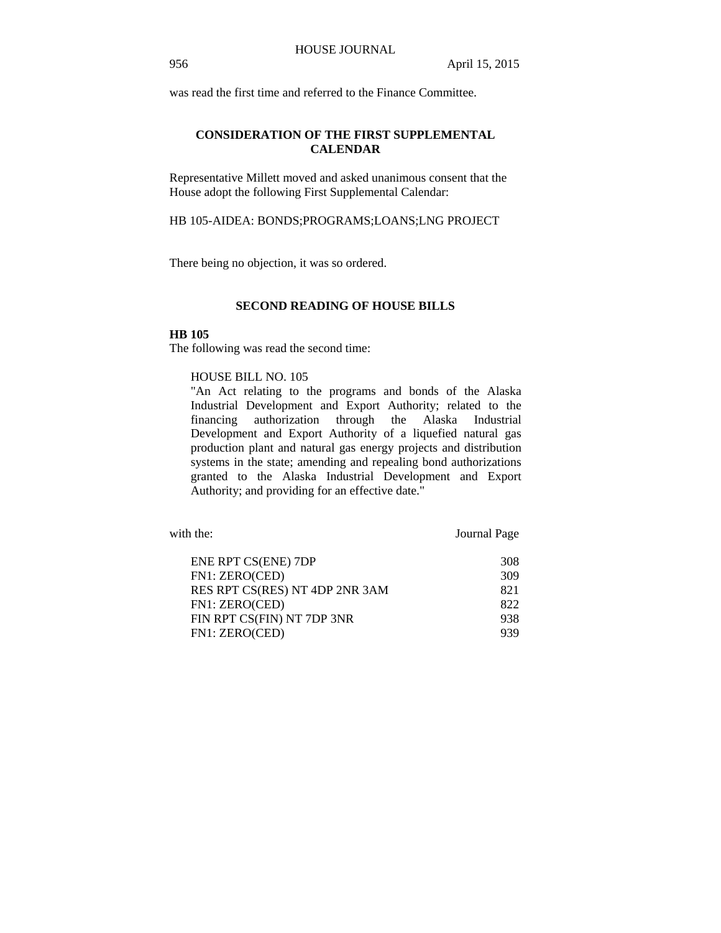was read the first time and referred to the Finance Committee.

## **CONSIDERATION OF THE FIRST SUPPLEMENTAL CALENDAR**

Representative Millett moved and asked unanimous consent that the House adopt the following First Supplemental Calendar:

HB 105-AIDEA: BONDS;PROGRAMS;LOANS;LNG PROJECT

There being no objection, it was so ordered.

### **SECOND READING OF HOUSE BILLS**

## **HB 105**

The following was read the second time:

### HOUSE BILL NO. 105

"An Act relating to the programs and bonds of the Alaska Industrial Development and Export Authority; related to the financing authorization through the Alaska Industrial Development and Export Authority of a liquefied natural gas production plant and natural gas energy projects and distribution systems in the state; amending and repealing bond authorizations granted to the Alaska Industrial Development and Export Authority; and providing for an effective date."

with the: Journal Page

| ENE RPT CS(ENE) 7DP            | 308 |
|--------------------------------|-----|
| FN1: ZERO(CED)                 | 309 |
| RES RPT CS(RES) NT 4DP 2NR 3AM | 821 |
| FN1: ZERO(CED)                 | 822 |
| FIN RPT CS(FIN) NT 7DP 3NR     | 938 |
| FN1: ZERO(CED)                 | 939 |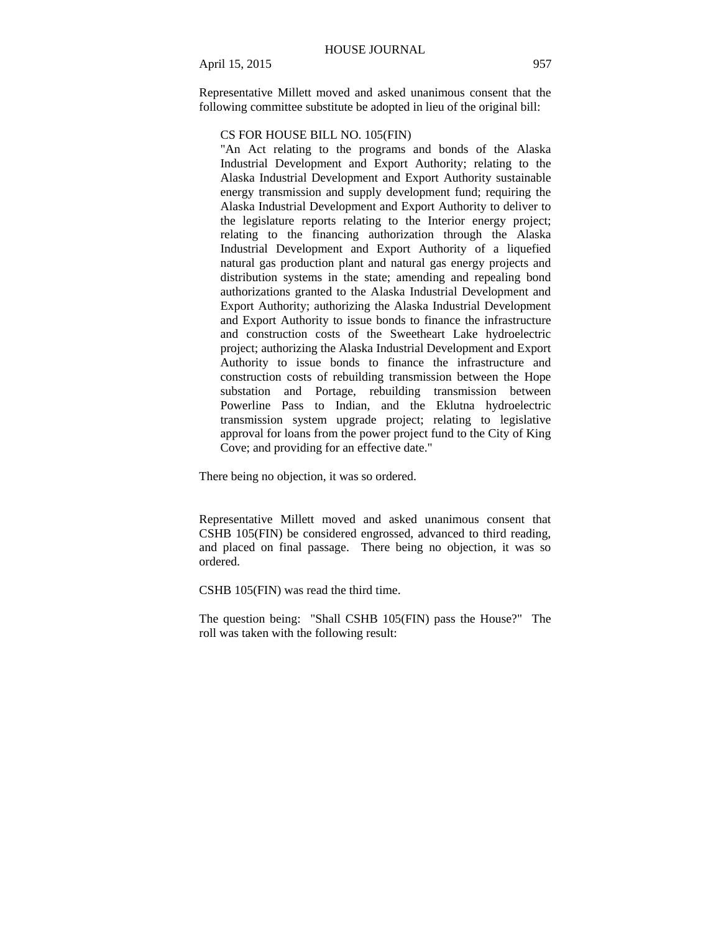Representative Millett moved and asked unanimous consent that the following committee substitute be adopted in lieu of the original bill:

## CS FOR HOUSE BILL NO. 105(FIN)

"An Act relating to the programs and bonds of the Alaska Industrial Development and Export Authority; relating to the Alaska Industrial Development and Export Authority sustainable energy transmission and supply development fund; requiring the Alaska Industrial Development and Export Authority to deliver to the legislature reports relating to the Interior energy project; relating to the financing authorization through the Alaska Industrial Development and Export Authority of a liquefied natural gas production plant and natural gas energy projects and distribution systems in the state; amending and repealing bond authorizations granted to the Alaska Industrial Development and Export Authority; authorizing the Alaska Industrial Development and Export Authority to issue bonds to finance the infrastructure and construction costs of the Sweetheart Lake hydroelectric project; authorizing the Alaska Industrial Development and Export Authority to issue bonds to finance the infrastructure and construction costs of rebuilding transmission between the Hope substation and Portage, rebuilding transmission between Powerline Pass to Indian, and the Eklutna hydroelectric transmission system upgrade project; relating to legislative approval for loans from the power project fund to the City of King Cove; and providing for an effective date."

There being no objection, it was so ordered.

Representative Millett moved and asked unanimous consent that CSHB 105(FIN) be considered engrossed, advanced to third reading, and placed on final passage. There being no objection, it was so ordered.

CSHB 105(FIN) was read the third time.

The question being: "Shall CSHB 105(FIN) pass the House?" The roll was taken with the following result: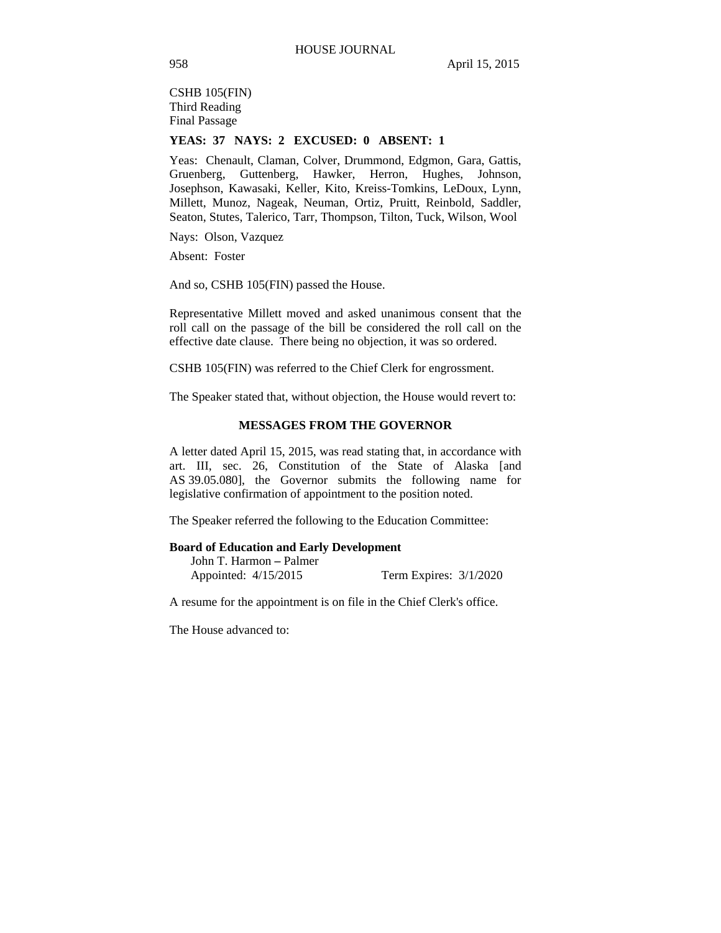CSHB 105(FIN) Third Reading Final Passage

### **YEAS: 37 NAYS: 2 EXCUSED: 0 ABSENT: 1**

Yeas: Chenault, Claman, Colver, Drummond, Edgmon, Gara, Gattis, Gruenberg, Guttenberg, Hawker, Herron, Hughes, Johnson, Josephson, Kawasaki, Keller, Kito, Kreiss-Tomkins, LeDoux, Lynn, Millett, Munoz, Nageak, Neuman, Ortiz, Pruitt, Reinbold, Saddler, Seaton, Stutes, Talerico, Tarr, Thompson, Tilton, Tuck, Wilson, Wool

Nays: Olson, Vazquez

Absent: Foster

And so, CSHB 105(FIN) passed the House.

Representative Millett moved and asked unanimous consent that the roll call on the passage of the bill be considered the roll call on the effective date clause. There being no objection, it was so ordered.

CSHB 105(FIN) was referred to the Chief Clerk for engrossment.

The Speaker stated that, without objection, the House would revert to:

#### **MESSAGES FROM THE GOVERNOR**

A letter dated April 15, 2015, was read stating that, in accordance with art. III, sec. 26, Constitution of the State of Alaska [and AS 39.05.080], the Governor submits the following name for legislative confirmation of appointment to the position noted.

The Speaker referred the following to the Education Committee:

#### **Board of Education and Early Development**

| John T. Harmon – Palmer |                        |  |
|-------------------------|------------------------|--|
| Appointed: 4/15/2015    | Term Expires: 3/1/2020 |  |

A resume for the appointment is on file in the Chief Clerk's office.

The House advanced to: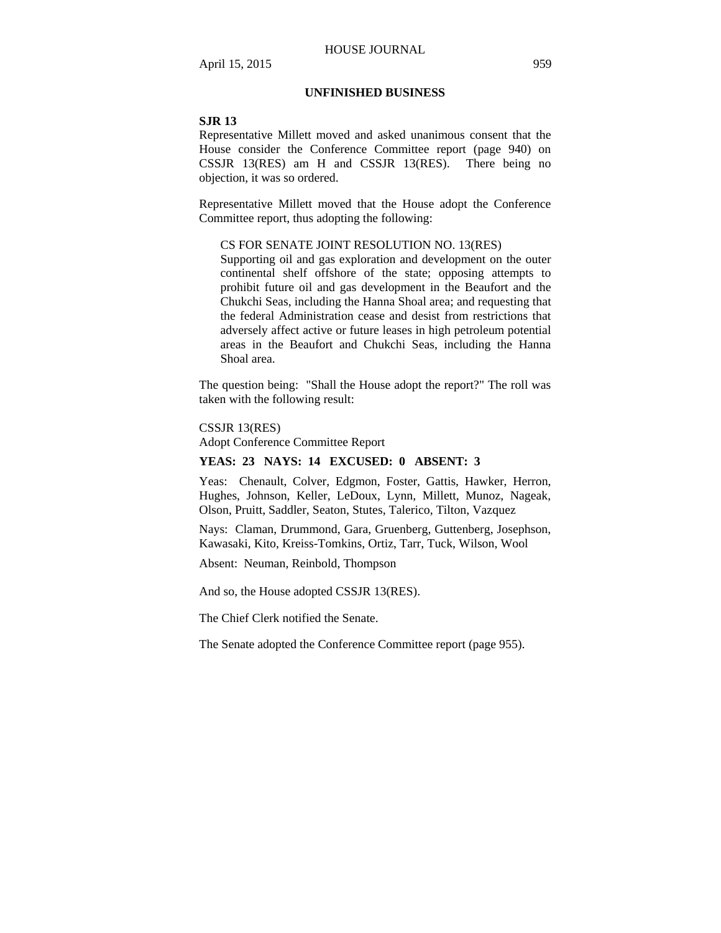## **UNFINISHED BUSINESS**

#### **SJR 13**

Representative Millett moved and asked unanimous consent that the House consider the Conference Committee report (page 940) on CSSJR 13(RES) am H and CSSJR 13(RES). There being no objection, it was so ordered.

Representative Millett moved that the House adopt the Conference Committee report, thus adopting the following:

### CS FOR SENATE JOINT RESOLUTION NO. 13(RES)

Supporting oil and gas exploration and development on the outer continental shelf offshore of the state; opposing attempts to prohibit future oil and gas development in the Beaufort and the Chukchi Seas, including the Hanna Shoal area; and requesting that the federal Administration cease and desist from restrictions that adversely affect active or future leases in high petroleum potential areas in the Beaufort and Chukchi Seas, including the Hanna Shoal area.

The question being: "Shall the House adopt the report?" The roll was taken with the following result:

#### CSSJR 13(RES)

Adopt Conference Committee Report

## **YEAS: 23 NAYS: 14 EXCUSED: 0 ABSENT: 3**

Yeas: Chenault, Colver, Edgmon, Foster, Gattis, Hawker, Herron, Hughes, Johnson, Keller, LeDoux, Lynn, Millett, Munoz, Nageak, Olson, Pruitt, Saddler, Seaton, Stutes, Talerico, Tilton, Vazquez

Nays: Claman, Drummond, Gara, Gruenberg, Guttenberg, Josephson, Kawasaki, Kito, Kreiss-Tomkins, Ortiz, Tarr, Tuck, Wilson, Wool

Absent: Neuman, Reinbold, Thompson

And so, the House adopted CSSJR 13(RES).

The Chief Clerk notified the Senate.

The Senate adopted the Conference Committee report (page 955).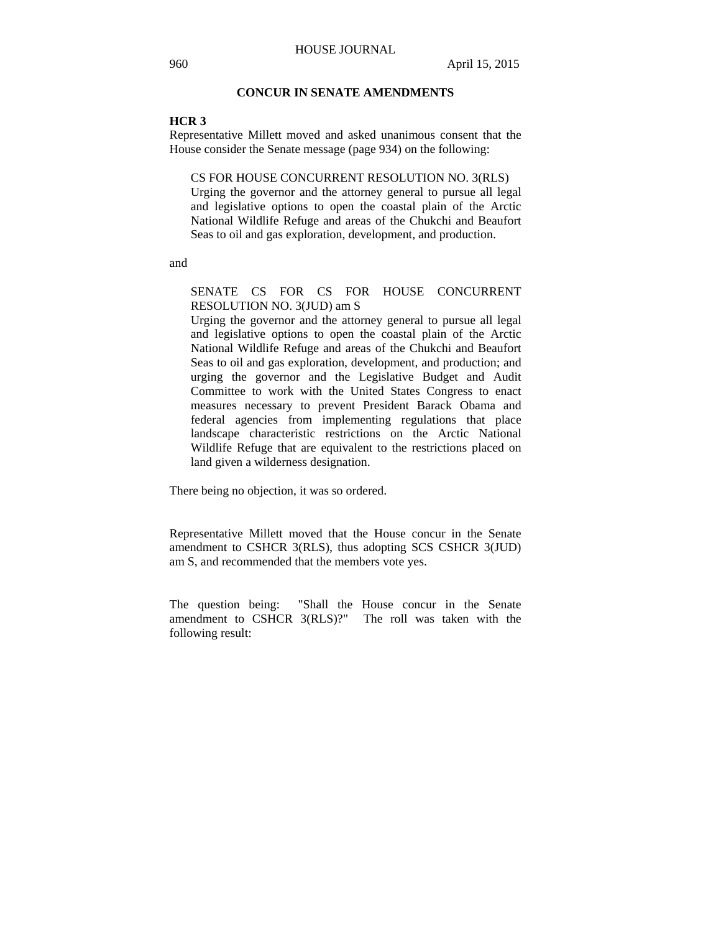## **CONCUR IN SENATE AMENDMENTS**

### **HCR 3**

Representative Millett moved and asked unanimous consent that the House consider the Senate message (page 934) on the following:

CS FOR HOUSE CONCURRENT RESOLUTION NO. 3(RLS) Urging the governor and the attorney general to pursue all legal and legislative options to open the coastal plain of the Arctic National Wildlife Refuge and areas of the Chukchi and Beaufort Seas to oil and gas exploration, development, and production.

and

SENATE CS FOR CS FOR HOUSE CONCURRENT RESOLUTION NO. 3(JUD) am S

Urging the governor and the attorney general to pursue all legal and legislative options to open the coastal plain of the Arctic National Wildlife Refuge and areas of the Chukchi and Beaufort Seas to oil and gas exploration, development, and production; and urging the governor and the Legislative Budget and Audit Committee to work with the United States Congress to enact measures necessary to prevent President Barack Obama and federal agencies from implementing regulations that place landscape characteristic restrictions on the Arctic National Wildlife Refuge that are equivalent to the restrictions placed on land given a wilderness designation.

There being no objection, it was so ordered.

Representative Millett moved that the House concur in the Senate amendment to CSHCR 3(RLS), thus adopting SCS CSHCR 3(JUD) am S, and recommended that the members vote yes.

The question being: "Shall the House concur in the Senate amendment to CSHCR 3(RLS)?" The roll was taken with the following result: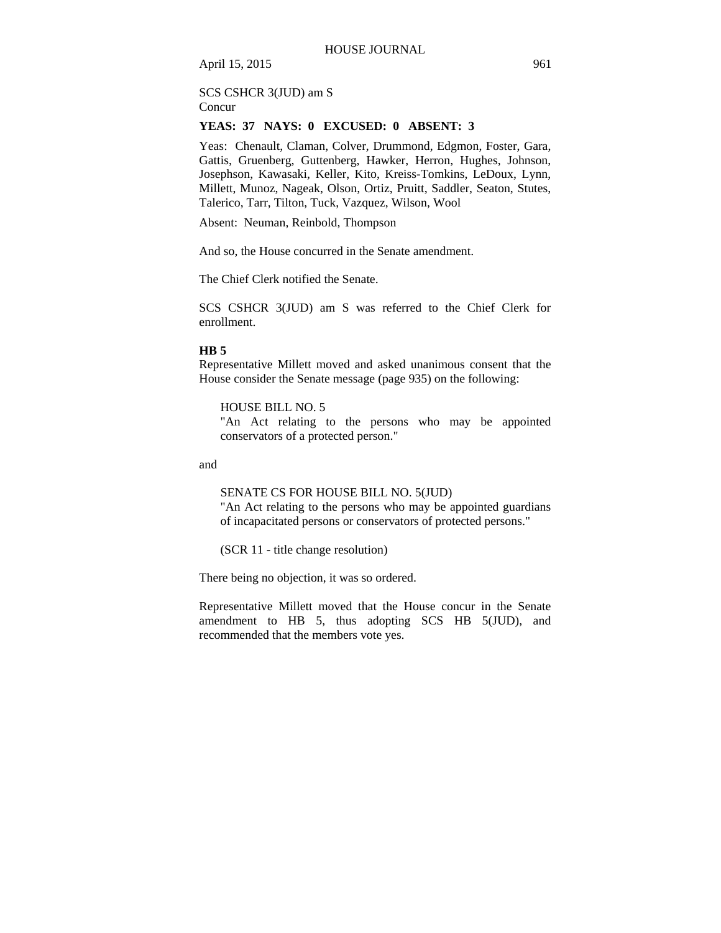### SCS CSHCR 3(JUD) am S Concur

### **YEAS: 37 NAYS: 0 EXCUSED: 0 ABSENT: 3**

Yeas: Chenault, Claman, Colver, Drummond, Edgmon, Foster, Gara, Gattis, Gruenberg, Guttenberg, Hawker, Herron, Hughes, Johnson, Josephson, Kawasaki, Keller, Kito, Kreiss-Tomkins, LeDoux, Lynn, Millett, Munoz, Nageak, Olson, Ortiz, Pruitt, Saddler, Seaton, Stutes, Talerico, Tarr, Tilton, Tuck, Vazquez, Wilson, Wool

Absent: Neuman, Reinbold, Thompson

And so, the House concurred in the Senate amendment.

The Chief Clerk notified the Senate.

SCS CSHCR 3(JUD) am S was referred to the Chief Clerk for enrollment.

### **HB 5**

Representative Millett moved and asked unanimous consent that the House consider the Senate message (page 935) on the following:

HOUSE BILL NO. 5

"An Act relating to the persons who may be appointed conservators of a protected person."

and

SENATE CS FOR HOUSE BILL NO. 5(JUD)

"An Act relating to the persons who may be appointed guardians of incapacitated persons or conservators of protected persons."

(SCR 11 - title change resolution)

There being no objection, it was so ordered.

Representative Millett moved that the House concur in the Senate amendment to HB 5, thus adopting SCS HB 5(JUD), and recommended that the members vote yes.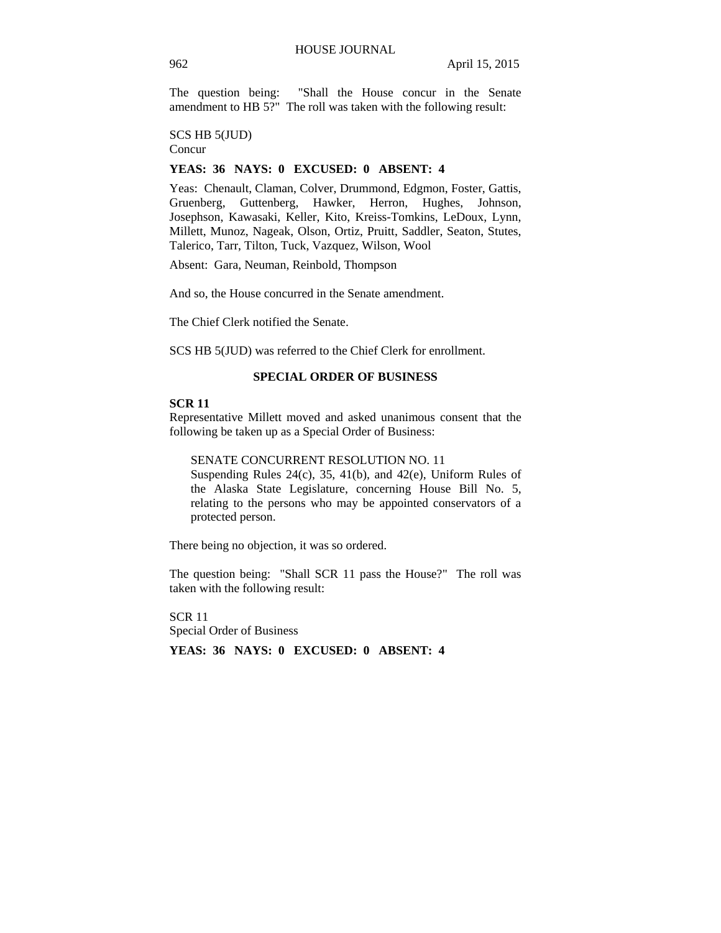The question being: "Shall the House concur in the Senate amendment to HB 5?" The roll was taken with the following result:

SCS HB 5(JUD)

Concur

## **YEAS: 36 NAYS: 0 EXCUSED: 0 ABSENT: 4**

Yeas: Chenault, Claman, Colver, Drummond, Edgmon, Foster, Gattis, Gruenberg, Guttenberg, Hawker, Herron, Hughes, Johnson, Josephson, Kawasaki, Keller, Kito, Kreiss-Tomkins, LeDoux, Lynn, Millett, Munoz, Nageak, Olson, Ortiz, Pruitt, Saddler, Seaton, Stutes, Talerico, Tarr, Tilton, Tuck, Vazquez, Wilson, Wool

Absent: Gara, Neuman, Reinbold, Thompson

And so, the House concurred in the Senate amendment.

The Chief Clerk notified the Senate.

SCS HB 5(JUD) was referred to the Chief Clerk for enrollment.

### **SPECIAL ORDER OF BUSINESS**

### **SCR 11**

Representative Millett moved and asked unanimous consent that the following be taken up as a Special Order of Business:

#### SENATE CONCURRENT RESOLUTION NO. 11

Suspending Rules 24(c), 35, 41(b), and 42(e), Uniform Rules of the Alaska State Legislature, concerning House Bill No. 5, relating to the persons who may be appointed conservators of a protected person.

There being no objection, it was so ordered.

The question being: "Shall SCR 11 pass the House?" The roll was taken with the following result:

SCR 11 Special Order of Business

**YEAS: 36 NAYS: 0 EXCUSED: 0 ABSENT: 4**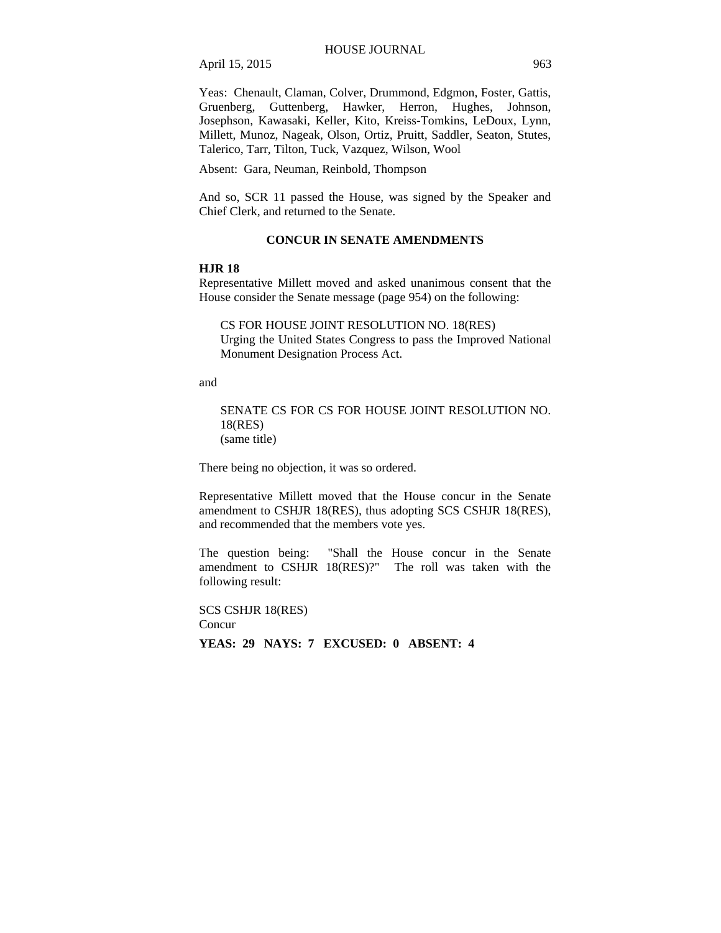Yeas: Chenault, Claman, Colver, Drummond, Edgmon, Foster, Gattis, Gruenberg, Guttenberg, Hawker, Herron, Hughes, Johnson, Josephson, Kawasaki, Keller, Kito, Kreiss-Tomkins, LeDoux, Lynn, Millett, Munoz, Nageak, Olson, Ortiz, Pruitt, Saddler, Seaton, Stutes, Talerico, Tarr, Tilton, Tuck, Vazquez, Wilson, Wool

Absent: Gara, Neuman, Reinbold, Thompson

And so, SCR 11 passed the House, was signed by the Speaker and Chief Clerk, and returned to the Senate.

## **CONCUR IN SENATE AMENDMENTS**

### **HJR 18**

Representative Millett moved and asked unanimous consent that the House consider the Senate message (page 954) on the following:

CS FOR HOUSE JOINT RESOLUTION NO. 18(RES) Urging the United States Congress to pass the Improved National Monument Designation Process Act.

and

SENATE CS FOR CS FOR HOUSE JOINT RESOLUTION NO. 18(RES) (same title)

There being no objection, it was so ordered.

Representative Millett moved that the House concur in the Senate amendment to CSHJR 18(RES), thus adopting SCS CSHJR 18(RES), and recommended that the members vote yes.

The question being: "Shall the House concur in the Senate amendment to CSHJR 18(RES)?" The roll was taken with the following result:

SCS CSHJR 18(RES) Concur **YEAS: 29 NAYS: 7 EXCUSED: 0 ABSENT: 4**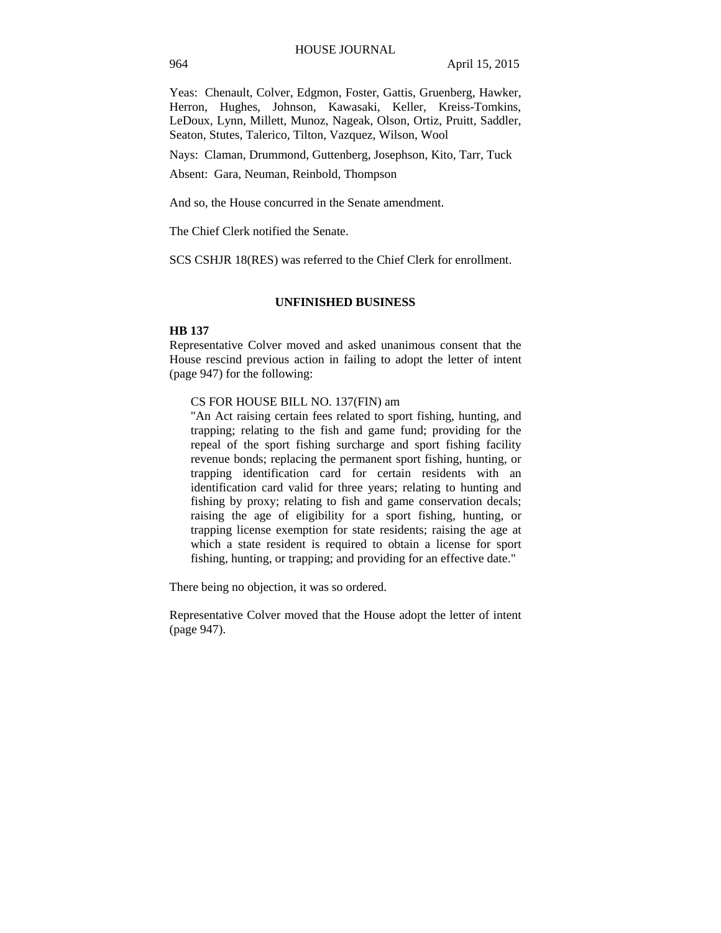Yeas: Chenault, Colver, Edgmon, Foster, Gattis, Gruenberg, Hawker, Herron, Hughes, Johnson, Kawasaki, Keller, Kreiss-Tomkins, LeDoux, Lynn, Millett, Munoz, Nageak, Olson, Ortiz, Pruitt, Saddler, Seaton, Stutes, Talerico, Tilton, Vazquez, Wilson, Wool

Nays: Claman, Drummond, Guttenberg, Josephson, Kito, Tarr, Tuck

Absent: Gara, Neuman, Reinbold, Thompson

And so, the House concurred in the Senate amendment.

The Chief Clerk notified the Senate.

SCS CSHJR 18(RES) was referred to the Chief Clerk for enrollment.

#### **UNFINISHED BUSINESS**

### **HB 137**

Representative Colver moved and asked unanimous consent that the House rescind previous action in failing to adopt the letter of intent (page 947) for the following:

### CS FOR HOUSE BILL NO. 137(FIN) am

"An Act raising certain fees related to sport fishing, hunting, and trapping; relating to the fish and game fund; providing for the repeal of the sport fishing surcharge and sport fishing facility revenue bonds; replacing the permanent sport fishing, hunting, or trapping identification card for certain residents with an identification card valid for three years; relating to hunting and fishing by proxy; relating to fish and game conservation decals; raising the age of eligibility for a sport fishing, hunting, or trapping license exemption for state residents; raising the age at which a state resident is required to obtain a license for sport fishing, hunting, or trapping; and providing for an effective date."

There being no objection, it was so ordered.

Representative Colver moved that the House adopt the letter of intent (page 947).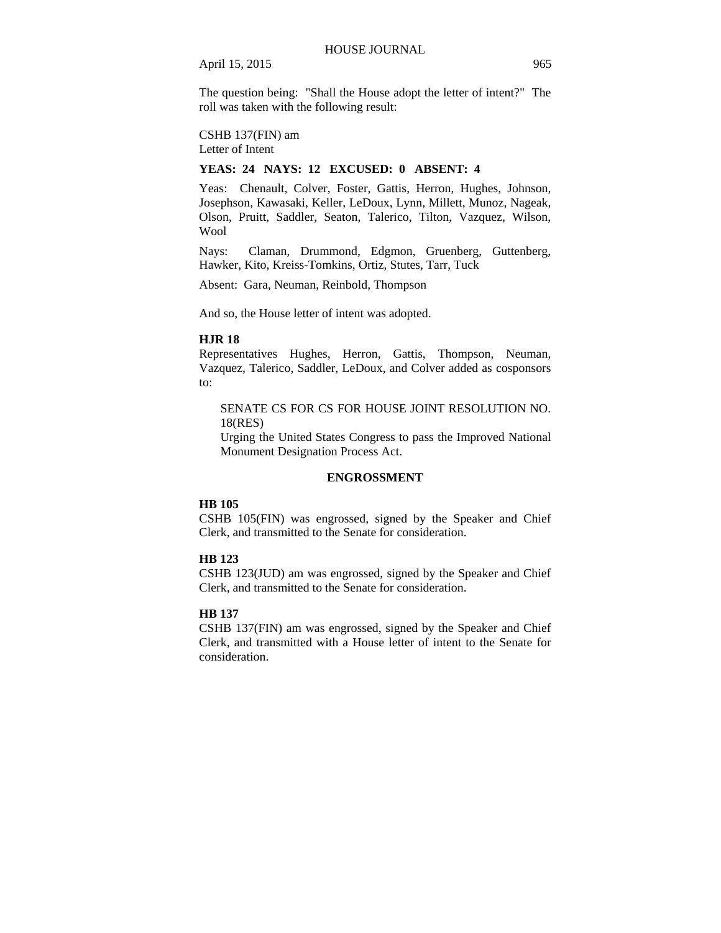The question being: "Shall the House adopt the letter of intent?" The roll was taken with the following result:

CSHB 137(FIN) am Letter of Intent

### **YEAS: 24 NAYS: 12 EXCUSED: 0 ABSENT: 4**

Yeas: Chenault, Colver, Foster, Gattis, Herron, Hughes, Johnson, Josephson, Kawasaki, Keller, LeDoux, Lynn, Millett, Munoz, Nageak, Olson, Pruitt, Saddler, Seaton, Talerico, Tilton, Vazquez, Wilson, Wool

Nays: Claman, Drummond, Edgmon, Gruenberg, Guttenberg, Hawker, Kito, Kreiss-Tomkins, Ortiz, Stutes, Tarr, Tuck

Absent: Gara, Neuman, Reinbold, Thompson

And so, the House letter of intent was adopted.

### **HJR 18**

Representatives Hughes, Herron, Gattis, Thompson, Neuman, Vazquez, Talerico, Saddler, LeDoux, and Colver added as cosponsors to:

## SENATE CS FOR CS FOR HOUSE JOINT RESOLUTION NO. 18(RES)

Urging the United States Congress to pass the Improved National Monument Designation Process Act.

#### **ENGROSSMENT**

#### **HB 105**

CSHB 105(FIN) was engrossed, signed by the Speaker and Chief Clerk, and transmitted to the Senate for consideration.

### **HB 123**

CSHB 123(JUD) am was engrossed, signed by the Speaker and Chief Clerk, and transmitted to the Senate for consideration.

### **HB 137**

CSHB 137(FIN) am was engrossed, signed by the Speaker and Chief Clerk, and transmitted with a House letter of intent to the Senate for consideration.